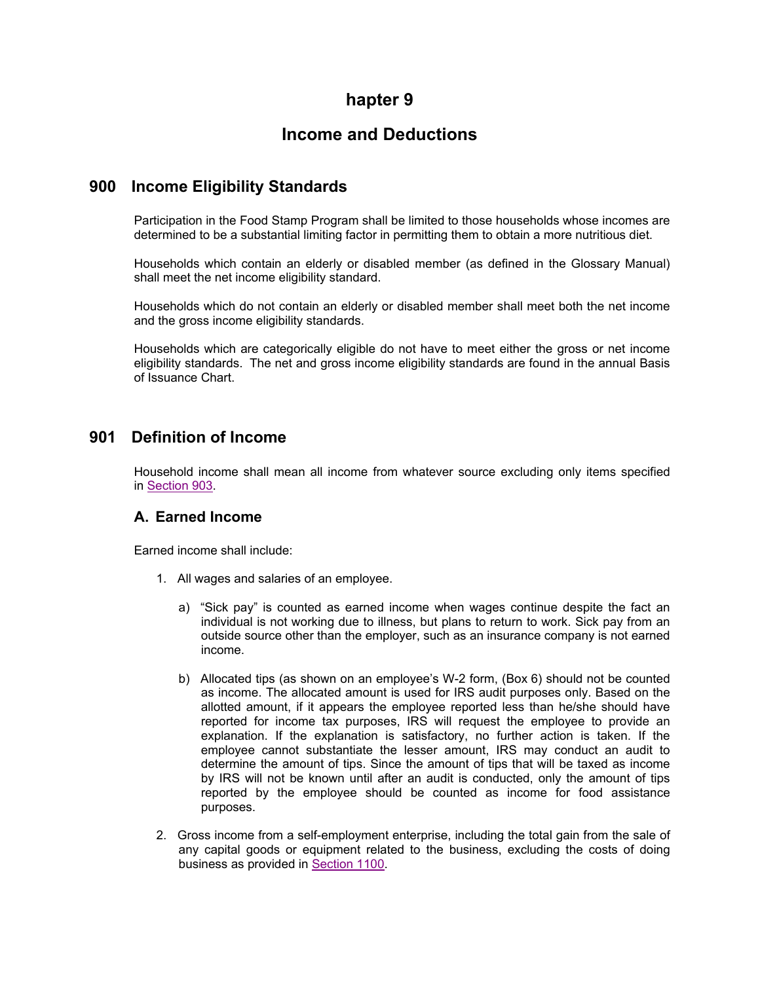# **hapter 9**

# **Income and Deductions**

## **900 Income Eligibility Standards**

Participation in the Food Stamp Program shall be limited to those households whose incomes are determined to be a substantial limiting factor in permitting them to obtain a more nutritious diet.

Households which contain an elderly or disabled member (as defined in the Glossary Manual) shall meet the net income eligibility standard.

Households which do not contain an elderly or disabled member shall meet both the net income and the gross income eligibility standards.

Households which are categorically eligible do not have to meet either the gross or net income eligibility standards. The net and gross income eligibility standards are found in the annual Basis of Issuance Chart.

## **901 Definition of Income**

Household income shall mean all income from whatever source excluding only items specified in Section 903.

### **A. Earned Income**

Earned income shall include:

- 1. All wages and salaries of an employee.
	- a) "Sick pay" is counted as earned income when wages continue despite the fact an individual is not working due to illness, but plans to return to work. Sick pay from an outside source other than the employer, such as an insurance company is not earned income.
	- b) Allocated tips (as shown on an employee's W-2 form, (Box 6) should not be counted as income. The allocated amount is used for IRS audit purposes only. Based on the allotted amount, if it appears the employee reported less than he/she should have reported for income tax purposes, IRS will request the employee to provide an explanation. If the explanation is satisfactory, no further action is taken. If the employee cannot substantiate the lesser amount, IRS may conduct an audit to determine the amount of tips. Since the amount of tips that will be taxed as income by IRS will not be known until after an audit is conducted, only the amount of tips reported by the employee should be counted as income for food assistance purposes.
- 2. Gross income from a self-employment enterprise, including the total gain from the sale of any capital goods or equipment related to the business, excluding the costs of doing business as provided in Section 1100.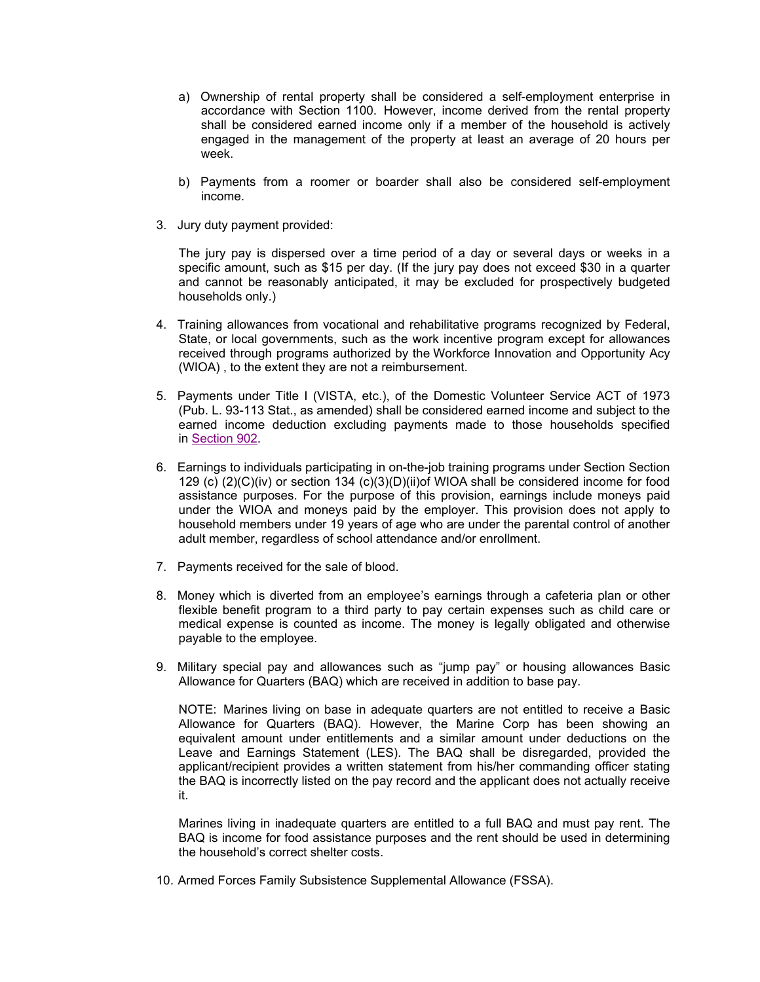- a) Ownership of rental property shall be considered a self-employment enterprise in accordance with Section 1100. However, income derived from the rental property shall be considered earned income only if a member of the household is actively engaged in the management of the property at least an average of 20 hours per week.
- b) Payments from a roomer or boarder shall also be considered self-employment income.
- 3. Jury duty payment provided:

The jury pay is dispersed over a time period of a day or several days or weeks in a specific amount, such as \$15 per day. (If the jury pay does not exceed \$30 in a quarter and cannot be reasonably anticipated, it may be excluded for prospectively budgeted households only.)

- 4. Training allowances from vocational and rehabilitative programs recognized by Federal, State, or local governments, such as the work incentive program except for allowances received through programs authorized by the Workforce Innovation and Opportunity Acy (WIOA) , to the extent they are not a reimbursement.
- 5. Payments under Title I (VISTA, etc.), of the Domestic Volunteer Service ACT of 1973 (Pub. L. 93-113 Stat., as amended) shall be considered earned income and subject to the earned income deduction excluding payments made to those households specified in Section 902.
- 6. Earnings to individuals participating in on-the-job training programs under Section Section 129 (c) (2)(C)(iv) or section 134 (c)(3)(D)(ii)of WIOA shall be considered income for food assistance purposes. For the purpose of this provision, earnings include moneys paid under the WIOA and moneys paid by the employer. This provision does not apply to household members under 19 years of age who are under the parental control of another adult member, regardless of school attendance and/or enrollment.
- 7. Payments received for the sale of blood.
- 8. Money which is diverted from an employee's earnings through a cafeteria plan or other flexible benefit program to a third party to pay certain expenses such as child care or medical expense is counted as income. The money is legally obligated and otherwise payable to the employee.
- 9. Military special pay and allowances such as "jump pay" or housing allowances Basic Allowance for Quarters (BAQ) which are received in addition to base pay.

NOTE: Marines living on base in adequate quarters are not entitled to receive a Basic Allowance for Quarters (BAQ). However, the Marine Corp has been showing an equivalent amount under entitlements and a similar amount under deductions on the Leave and Earnings Statement (LES). The BAQ shall be disregarded, provided the applicant/recipient provides a written statement from his/her commanding officer stating the BAQ is incorrectly listed on the pay record and the applicant does not actually receive it.

Marines living in inadequate quarters are entitled to a full BAQ and must pay rent. The BAQ is income for food assistance purposes and the rent should be used in determining the household's correct shelter costs.

10. Armed Forces Family Subsistence Supplemental Allowance (FSSA).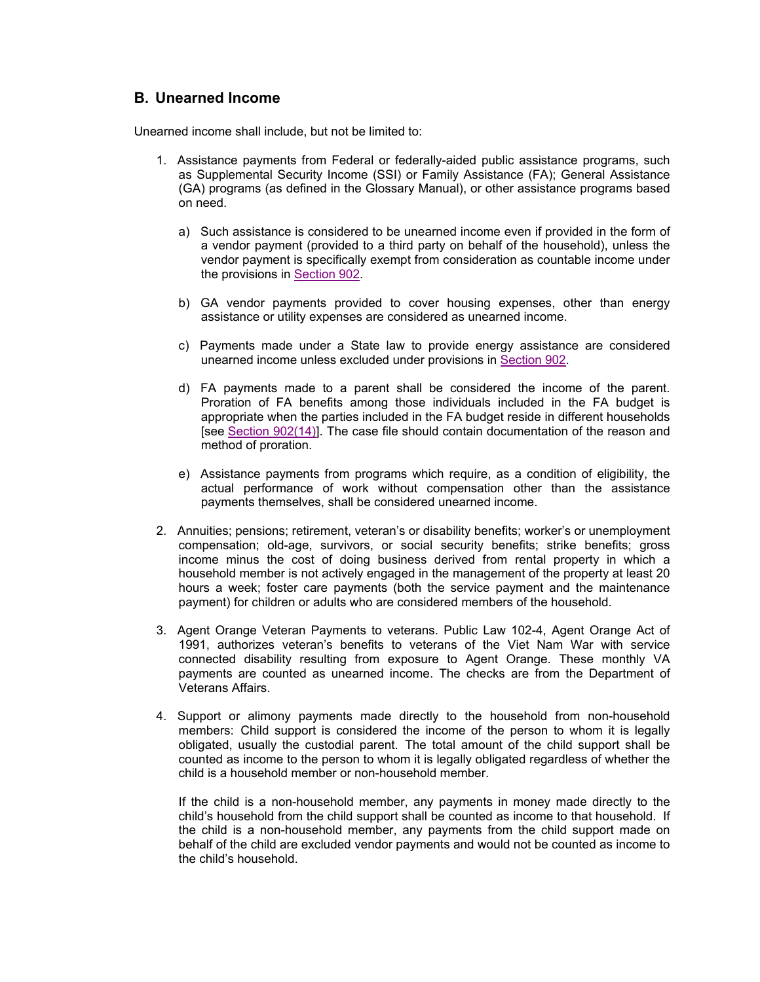### **B. Unearned Income**

Unearned income shall include, but not be limited to:

- 1. Assistance payments from Federal or federally-aided public assistance programs, such as Supplemental Security Income (SSI) or Family Assistance (FA); General Assistance (GA) programs (as defined in the Glossary Manual), or other assistance programs based on need.
	- a) Such assistance is considered to be unearned income even if provided in the form of a vendor payment (provided to a third party on behalf of the household), unless the vendor payment is specifically exempt from consideration as countable income under the provisions in Section 902.
	- b) GA vendor payments provided to cover housing expenses, other than energy assistance or utility expenses are considered as unearned income.
	- c) Payments made under a State law to provide energy assistance are considered unearned income unless excluded under provisions in Section 902.
	- d) FA payments made to a parent shall be considered the income of the parent. Proration of FA benefits among those individuals included in the FA budget is appropriate when the parties included in the FA budget reside in different households [see Section 902(14)]. The case file should contain documentation of the reason and method of proration.
	- e) Assistance payments from programs which require, as a condition of eligibility, the actual performance of work without compensation other than the assistance payments themselves, shall be considered unearned income.
- 2. Annuities; pensions; retirement, veteran's or disability benefits; worker's or unemployment compensation; old-age, survivors, or social security benefits; strike benefits; gross income minus the cost of doing business derived from rental property in which a household member is not actively engaged in the management of the property at least 20 hours a week; foster care payments (both the service payment and the maintenance payment) for children or adults who are considered members of the household.
- 3. Agent Orange Veteran Payments to veterans. Public Law 102-4, Agent Orange Act of 1991, authorizes veteran's benefits to veterans of the Viet Nam War with service connected disability resulting from exposure to Agent Orange. These monthly VA payments are counted as unearned income. The checks are from the Department of Veterans Affairs.
- 4. Support or alimony payments made directly to the household from non-household members: Child support is considered the income of the person to whom it is legally obligated, usually the custodial parent. The total amount of the child support shall be counted as income to the person to whom it is legally obligated regardless of whether the child is a household member or non-household member.

If the child is a non-household member, any payments in money made directly to the child's household from the child support shall be counted as income to that household. If the child is a non-household member, any payments from the child support made on behalf of the child are excluded vendor payments and would not be counted as income to the child's household.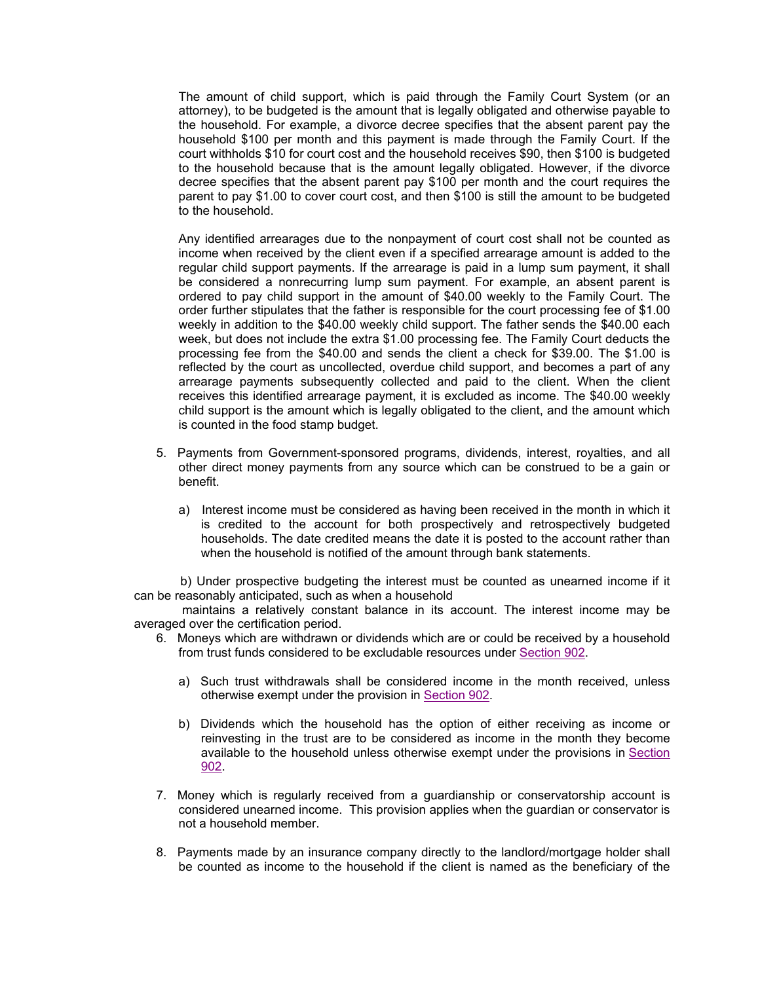The amount of child support, which is paid through the Family Court System (or an attorney), to be budgeted is the amount that is legally obligated and otherwise payable to the household. For example, a divorce decree specifies that the absent parent pay the household \$100 per month and this payment is made through the Family Court. If the court withholds \$10 for court cost and the household receives \$90, then \$100 is budgeted to the household because that is the amount legally obligated. However, if the divorce decree specifies that the absent parent pay \$100 per month and the court requires the parent to pay \$1.00 to cover court cost, and then \$100 is still the amount to be budgeted to the household.

Any identified arrearages due to the nonpayment of court cost shall not be counted as income when received by the client even if a specified arrearage amount is added to the regular child support payments. If the arrearage is paid in a lump sum payment, it shall be considered a nonrecurring lump sum payment. For example, an absent parent is ordered to pay child support in the amount of \$40.00 weekly to the Family Court. The order further stipulates that the father is responsible for the court processing fee of \$1.00 weekly in addition to the \$40.00 weekly child support. The father sends the \$40.00 each week, but does not include the extra \$1.00 processing fee. The Family Court deducts the processing fee from the \$40.00 and sends the client a check for \$39.00. The \$1.00 is reflected by the court as uncollected, overdue child support, and becomes a part of any arrearage payments subsequently collected and paid to the client. When the client receives this identified arrearage payment, it is excluded as income. The \$40.00 weekly child support is the amount which is legally obligated to the client, and the amount which is counted in the food stamp budget.

- 5. Payments from Government-sponsored programs, dividends, interest, royalties, and all other direct money payments from any source which can be construed to be a gain or benefit.
	- a) Interest income must be considered as having been received in the month in which it is credited to the account for both prospectively and retrospectively budgeted households. The date credited means the date it is posted to the account rather than when the household is notified of the amount through bank statements.

 b) Under prospective budgeting the interest must be counted as unearned income if it can be reasonably anticipated, such as when a household

 maintains a relatively constant balance in its account. The interest income may be averaged over the certification period.

- 6. Moneys which are withdrawn or dividends which are or could be received by a household from trust funds considered to be excludable resources under Section 902.
	- a) Such trust withdrawals shall be considered income in the month received, unless otherwise exempt under the provision in Section 902.
	- b) Dividends which the household has the option of either receiving as income or reinvesting in the trust are to be considered as income in the month they become available to the household unless otherwise exempt under the provisions in Section 902.
- 7. Money which is regularly received from a guardianship or conservatorship account is considered unearned income. This provision applies when the guardian or conservator is not a household member.
- 8. Payments made by an insurance company directly to the landlord/mortgage holder shall be counted as income to the household if the client is named as the beneficiary of the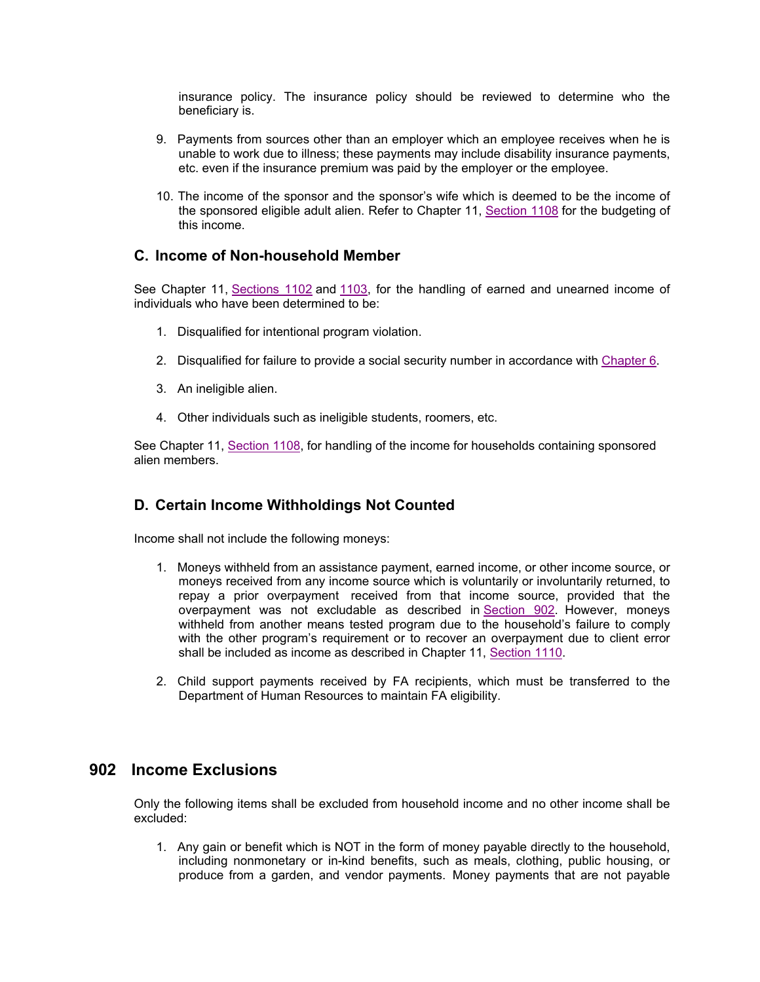insurance policy. The insurance policy should be reviewed to determine who the beneficiary is.

- 9. Payments from sources other than an employer which an employee receives when he is unable to work due to illness; these payments may include disability insurance payments, etc. even if the insurance premium was paid by the employer or the employee.
- 10. The income of the sponsor and the sponsor's wife which is deemed to be the income of the sponsored eligible adult alien. Refer to Chapter 11, Section 1108 for the budgeting of this income.

#### **C. Income of Non-household Member**

See Chapter 11, Sections 1102 and 1103, for the handling of earned and unearned income of individuals who have been determined to be:

- 1. Disqualified for intentional program violation.
- 2. Disqualified for failure to provide a social security number in accordance with Chapter 6.
- 3. An ineligible alien.
- 4. Other individuals such as ineligible students, roomers, etc.

See Chapter 11, Section 1108, for handling of the income for households containing sponsored alien members.

### **D. Certain Income Withholdings Not Counted**

Income shall not include the following moneys:

- 1. Moneys withheld from an assistance payment, earned income, or other income source, or moneys received from any income source which is voluntarily or involuntarily returned, to repay a prior overpayment received from that income source, provided that the overpayment was not excludable as described in Section 902. However, moneys withheld from another means tested program due to the household's failure to comply with the other program's requirement or to recover an overpayment due to client error shall be included as income as described in Chapter 11, Section 1110.
- 2. Child support payments received by FA recipients, which must be transferred to the Department of Human Resources to maintain FA eligibility.

### **902 Income Exclusions**

Only the following items shall be excluded from household income and no other income shall be excluded:

1. Any gain or benefit which is NOT in the form of money payable directly to the household, including nonmonetary or in-kind benefits, such as meals, clothing, public housing, or produce from a garden, and vendor payments. Money payments that are not payable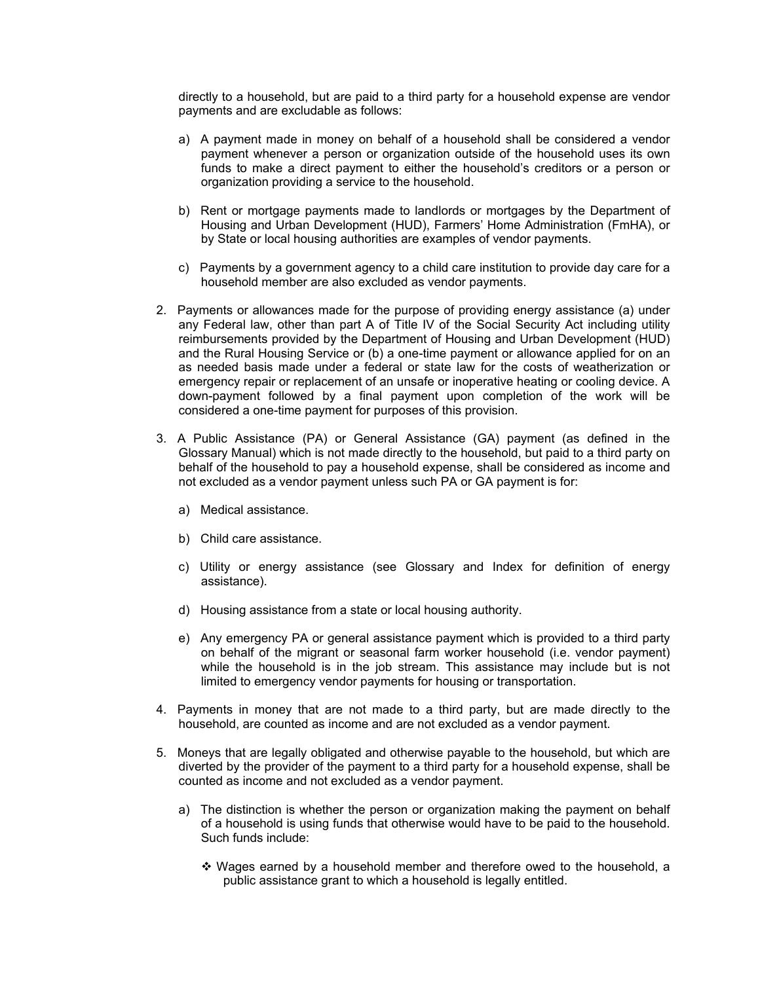directly to a household, but are paid to a third party for a household expense are vendor payments and are excludable as follows:

- a) A payment made in money on behalf of a household shall be considered a vendor payment whenever a person or organization outside of the household uses its own funds to make a direct payment to either the household's creditors or a person or organization providing a service to the household.
- b) Rent or mortgage payments made to landlords or mortgages by the Department of Housing and Urban Development (HUD), Farmers' Home Administration (FmHA), or by State or local housing authorities are examples of vendor payments.
- c) Payments by a government agency to a child care institution to provide day care for a household member are also excluded as vendor payments.
- 2. Payments or allowances made for the purpose of providing energy assistance (a) under any Federal law, other than part A of Title IV of the Social Security Act including utility reimbursements provided by the Department of Housing and Urban Development (HUD) and the Rural Housing Service or (b) a one-time payment or allowance applied for on an as needed basis made under a federal or state law for the costs of weatherization or emergency repair or replacement of an unsafe or inoperative heating or cooling device. A down-payment followed by a final payment upon completion of the work will be considered a one-time payment for purposes of this provision.
- 3. A Public Assistance (PA) or General Assistance (GA) payment (as defined in the Glossary Manual) which is not made directly to the household, but paid to a third party on behalf of the household to pay a household expense, shall be considered as income and not excluded as a vendor payment unless such PA or GA payment is for:
	- a) Medical assistance.
	- b) Child care assistance.
	- c) Utility or energy assistance (see Glossary and Index for definition of energy assistance).
	- d) Housing assistance from a state or local housing authority.
	- e) Any emergency PA or general assistance payment which is provided to a third party on behalf of the migrant or seasonal farm worker household (i.e. vendor payment) while the household is in the job stream. This assistance may include but is not limited to emergency vendor payments for housing or transportation.
- 4. Payments in money that are not made to a third party, but are made directly to the household, are counted as income and are not excluded as a vendor payment.
- 5. Moneys that are legally obligated and otherwise payable to the household, but which are diverted by the provider of the payment to a third party for a household expense, shall be counted as income and not excluded as a vendor payment.
	- a) The distinction is whether the person or organization making the payment on behalf of a household is using funds that otherwise would have to be paid to the household. Such funds include:
		- Wages earned by a household member and therefore owed to the household, a public assistance grant to which a household is legally entitled.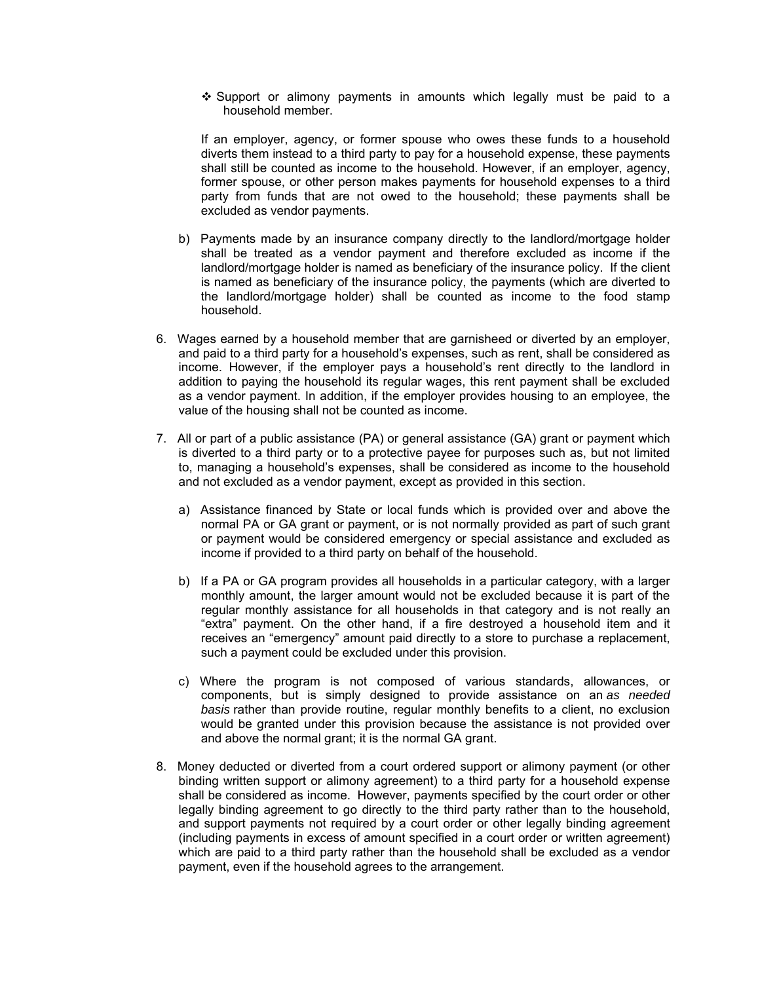$\div$  Support or alimony payments in amounts which legally must be paid to a household member.

If an employer, agency, or former spouse who owes these funds to a household diverts them instead to a third party to pay for a household expense, these payments shall still be counted as income to the household. However, if an employer, agency, former spouse, or other person makes payments for household expenses to a third party from funds that are not owed to the household; these payments shall be excluded as vendor payments.

- b) Payments made by an insurance company directly to the landlord/mortgage holder shall be treated as a vendor payment and therefore excluded as income if the landlord/mortgage holder is named as beneficiary of the insurance policy. If the client is named as beneficiary of the insurance policy, the payments (which are diverted to the landlord/mortgage holder) shall be counted as income to the food stamp household.
- 6. Wages earned by a household member that are garnisheed or diverted by an employer, and paid to a third party for a household's expenses, such as rent, shall be considered as income. However, if the employer pays a household's rent directly to the landlord in addition to paying the household its regular wages, this rent payment shall be excluded as a vendor payment. In addition, if the employer provides housing to an employee, the value of the housing shall not be counted as income.
- 7. All or part of a public assistance (PA) or general assistance (GA) grant or payment which is diverted to a third party or to a protective payee for purposes such as, but not limited to, managing a household's expenses, shall be considered as income to the household and not excluded as a vendor payment, except as provided in this section.
	- a) Assistance financed by State or local funds which is provided over and above the normal PA or GA grant or payment, or is not normally provided as part of such grant or payment would be considered emergency or special assistance and excluded as income if provided to a third party on behalf of the household.
	- b) If a PA or GA program provides all households in a particular category, with a larger monthly amount, the larger amount would not be excluded because it is part of the regular monthly assistance for all households in that category and is not really an "extra" payment. On the other hand, if a fire destroyed a household item and it receives an "emergency" amount paid directly to a store to purchase a replacement, such a payment could be excluded under this provision.
	- c) Where the program is not composed of various standards, allowances, or components, but is simply designed to provide assistance on an *as needed basis* rather than provide routine, regular monthly benefits to a client, no exclusion would be granted under this provision because the assistance is not provided over and above the normal grant; it is the normal GA grant.
- 8. Money deducted or diverted from a court ordered support or alimony payment (or other binding written support or alimony agreement) to a third party for a household expense shall be considered as income. However, payments specified by the court order or other legally binding agreement to go directly to the third party rather than to the household, and support payments not required by a court order or other legally binding agreement (including payments in excess of amount specified in a court order or written agreement) which are paid to a third party rather than the household shall be excluded as a vendor payment, even if the household agrees to the arrangement.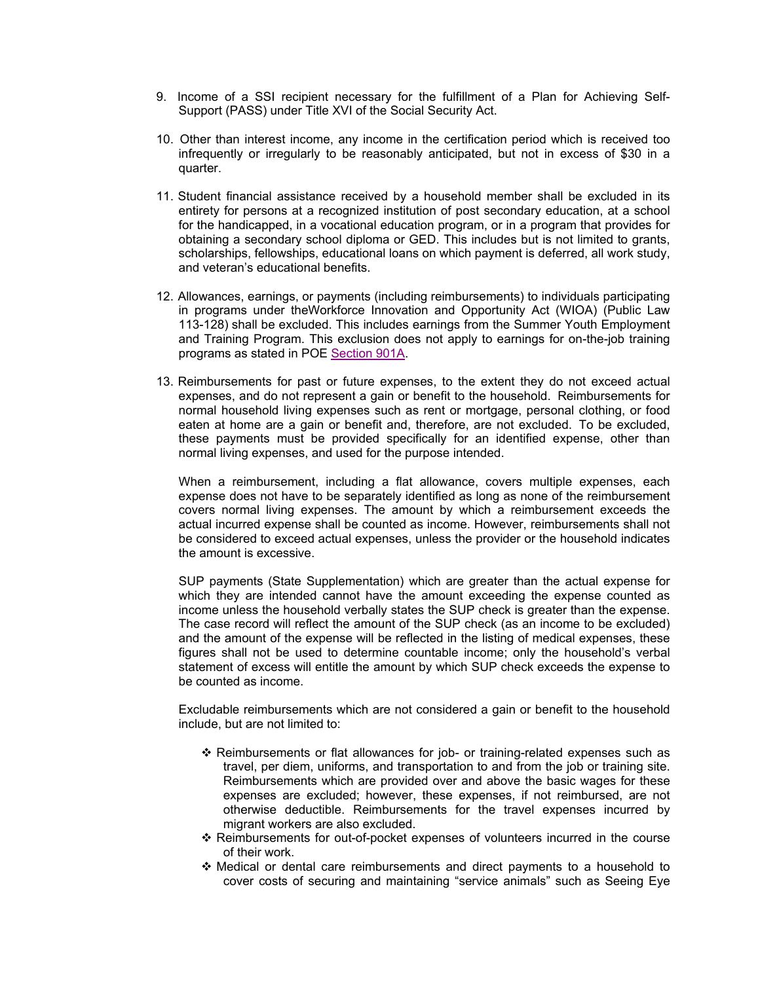- 9. Income of a SSI recipient necessary for the fulfillment of a Plan for Achieving Self-Support (PASS) under Title XVI of the Social Security Act.
- 10. Other than interest income, any income in the certification period which is received too infrequently or irregularly to be reasonably anticipated, but not in excess of \$30 in a quarter.
- 11. Student financial assistance received by a household member shall be excluded in its entirety for persons at a recognized institution of post secondary education, at a school for the handicapped, in a vocational education program, or in a program that provides for obtaining a secondary school diploma or GED. This includes but is not limited to grants, scholarships, fellowships, educational loans on which payment is deferred, all work study, and veteran's educational benefits.
- 12. Allowances, earnings, or payments (including reimbursements) to individuals participating in programs under theWorkforce Innovation and Opportunity Act (WIOA) (Public Law 113-128) shall be excluded. This includes earnings from the Summer Youth Employment and Training Program. This exclusion does not apply to earnings for on-the-job training programs as stated in POE Section 901A.
- 13. Reimbursements for past or future expenses, to the extent they do not exceed actual expenses, and do not represent a gain or benefit to the household. Reimbursements for normal household living expenses such as rent or mortgage, personal clothing, or food eaten at home are a gain or benefit and, therefore, are not excluded. To be excluded, these payments must be provided specifically for an identified expense, other than normal living expenses, and used for the purpose intended.

When a reimbursement, including a flat allowance, covers multiple expenses, each expense does not have to be separately identified as long as none of the reimbursement covers normal living expenses. The amount by which a reimbursement exceeds the actual incurred expense shall be counted as income. However, reimbursements shall not be considered to exceed actual expenses, unless the provider or the household indicates the amount is excessive.

SUP payments (State Supplementation) which are greater than the actual expense for which they are intended cannot have the amount exceeding the expense counted as income unless the household verbally states the SUP check is greater than the expense. The case record will reflect the amount of the SUP check (as an income to be excluded) and the amount of the expense will be reflected in the listing of medical expenses, these figures shall not be used to determine countable income; only the household's verbal statement of excess will entitle the amount by which SUP check exceeds the expense to be counted as income.

Excludable reimbursements which are not considered a gain or benefit to the household include, but are not limited to:

- Reimbursements or flat allowances for job- or training-related expenses such as travel, per diem, uniforms, and transportation to and from the job or training site. Reimbursements which are provided over and above the basic wages for these expenses are excluded; however, these expenses, if not reimbursed, are not otherwise deductible. Reimbursements for the travel expenses incurred by migrant workers are also excluded.
- Reimbursements for out-of-pocket expenses of volunteers incurred in the course of their work.
- $\clubsuit$  Medical or dental care reimbursements and direct payments to a household to cover costs of securing and maintaining "service animals" such as Seeing Eye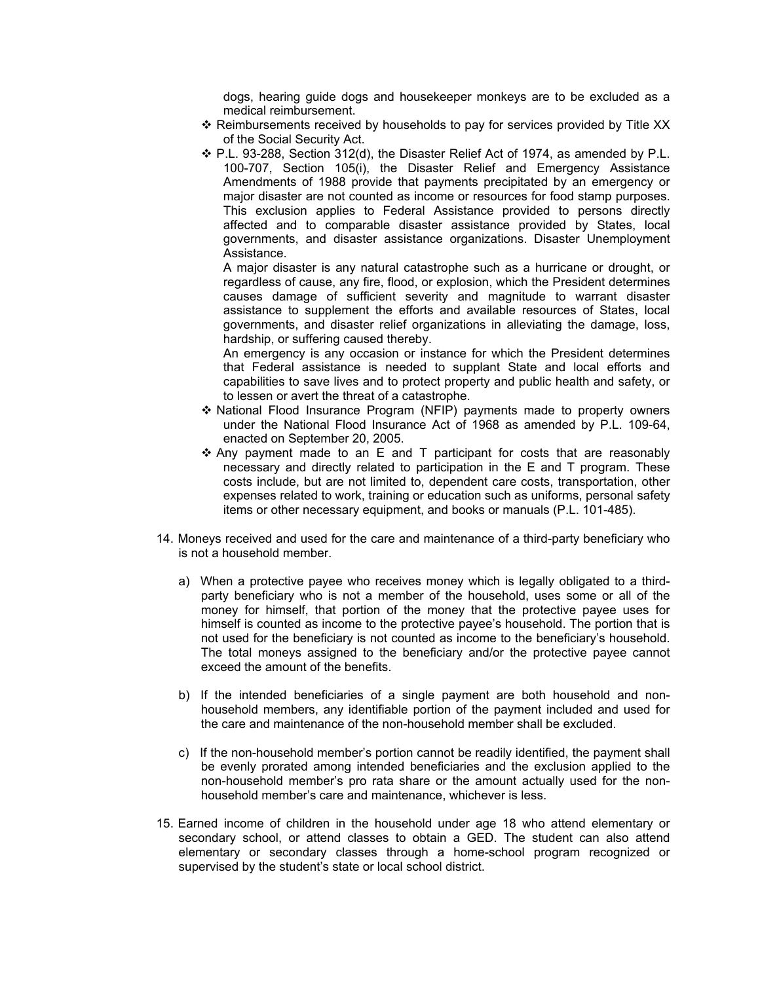dogs, hearing guide dogs and housekeeper monkeys are to be excluded as a medical reimbursement.

- $\div$  Reimbursements received by households to pay for services provided by Title XX of the Social Security Act.
- P.L. 93-288, Section 312(d), the Disaster Relief Act of 1974, as amended by P.L. 100-707, Section 105(i), the Disaster Relief and Emergency Assistance Amendments of 1988 provide that payments precipitated by an emergency or major disaster are not counted as income or resources for food stamp purposes. This exclusion applies to Federal Assistance provided to persons directly affected and to comparable disaster assistance provided by States, local governments, and disaster assistance organizations. Disaster Unemployment Assistance.

A major disaster is any natural catastrophe such as a hurricane or drought, or regardless of cause, any fire, flood, or explosion, which the President determines causes damage of sufficient severity and magnitude to warrant disaster assistance to supplement the efforts and available resources of States, local governments, and disaster relief organizations in alleviating the damage, loss, hardship, or suffering caused thereby.

An emergency is any occasion or instance for which the President determines that Federal assistance is needed to supplant State and local efforts and capabilities to save lives and to protect property and public health and safety, or to lessen or avert the threat of a catastrophe.

- National Flood Insurance Program (NFIP) payments made to property owners under the National Flood Insurance Act of 1968 as amended by P.L. 109-64, enacted on September 20, 2005.
- $\div$  Any payment made to an E and T participant for costs that are reasonably necessary and directly related to participation in the E and T program. These costs include, but are not limited to, dependent care costs, transportation, other expenses related to work, training or education such as uniforms, personal safety items or other necessary equipment, and books or manuals (P.L. 101-485).
- 14. Moneys received and used for the care and maintenance of a third-party beneficiary who is not a household member.
	- a) When a protective payee who receives money which is legally obligated to a thirdparty beneficiary who is not a member of the household, uses some or all of the money for himself, that portion of the money that the protective payee uses for himself is counted as income to the protective payee's household. The portion that is not used for the beneficiary is not counted as income to the beneficiary's household. The total moneys assigned to the beneficiary and/or the protective payee cannot exceed the amount of the benefits.
	- b) If the intended beneficiaries of a single payment are both household and nonhousehold members, any identifiable portion of the payment included and used for the care and maintenance of the non-household member shall be excluded.
	- c) If the non-household member's portion cannot be readily identified, the payment shall be evenly prorated among intended beneficiaries and the exclusion applied to the non-household member's pro rata share or the amount actually used for the nonhousehold member's care and maintenance, whichever is less.
- 15. Earned income of children in the household under age 18 who attend elementary or secondary school, or attend classes to obtain a GED. The student can also attend elementary or secondary classes through a home-school program recognized or supervised by the student's state or local school district.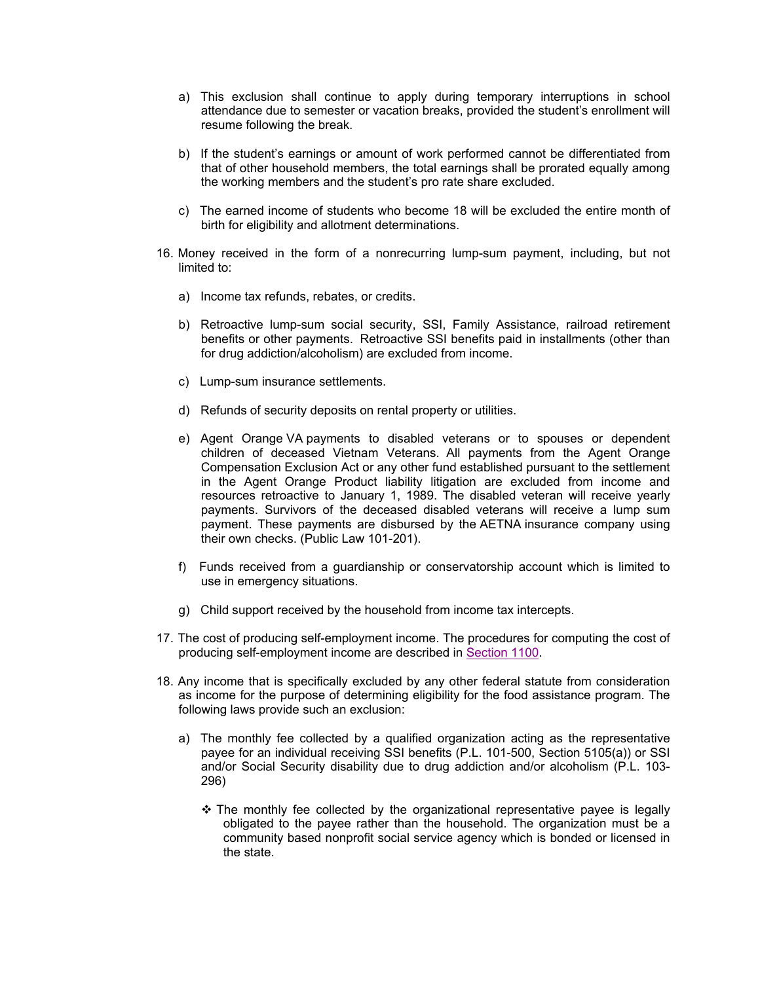- a) This exclusion shall continue to apply during temporary interruptions in school attendance due to semester or vacation breaks, provided the student's enrollment will resume following the break.
- b) If the student's earnings or amount of work performed cannot be differentiated from that of other household members, the total earnings shall be prorated equally among the working members and the student's pro rate share excluded.
- c) The earned income of students who become 18 will be excluded the entire month of birth for eligibility and allotment determinations.
- 16. Money received in the form of a nonrecurring lump-sum payment, including, but not limited to:
	- a) Income tax refunds, rebates, or credits.
	- b) Retroactive lump-sum social security, SSI, Family Assistance, railroad retirement benefits or other payments. Retroactive SSI benefits paid in installments (other than for drug addiction/alcoholism) are excluded from income.
	- c) Lump-sum insurance settlements.
	- d) Refunds of security deposits on rental property or utilities.
	- e) Agent Orange VA payments to disabled veterans or to spouses or dependent children of deceased Vietnam Veterans. All payments from the Agent Orange Compensation Exclusion Act or any other fund established pursuant to the settlement in the Agent Orange Product liability litigation are excluded from income and resources retroactive to January 1, 1989. The disabled veteran will receive yearly payments. Survivors of the deceased disabled veterans will receive a lump sum payment. These payments are disbursed by the AETNA insurance company using their own checks. (Public Law 101-201).
	- f) Funds received from a guardianship or conservatorship account which is limited to use in emergency situations.
	- g) Child support received by the household from income tax intercepts.
- 17. The cost of producing self-employment income. The procedures for computing the cost of producing self-employment income are described in Section 1100.
- 18. Any income that is specifically excluded by any other federal statute from consideration as income for the purpose of determining eligibility for the food assistance program. The following laws provide such an exclusion:
	- a) The monthly fee collected by a qualified organization acting as the representative payee for an individual receiving SSI benefits (P.L. 101-500, Section 5105(a)) or SSI and/or Social Security disability due to drug addiction and/or alcoholism (P.L. 103- 296)
		- $\div$  The monthly fee collected by the organizational representative payee is legally obligated to the payee rather than the household. The organization must be a community based nonprofit social service agency which is bonded or licensed in the state.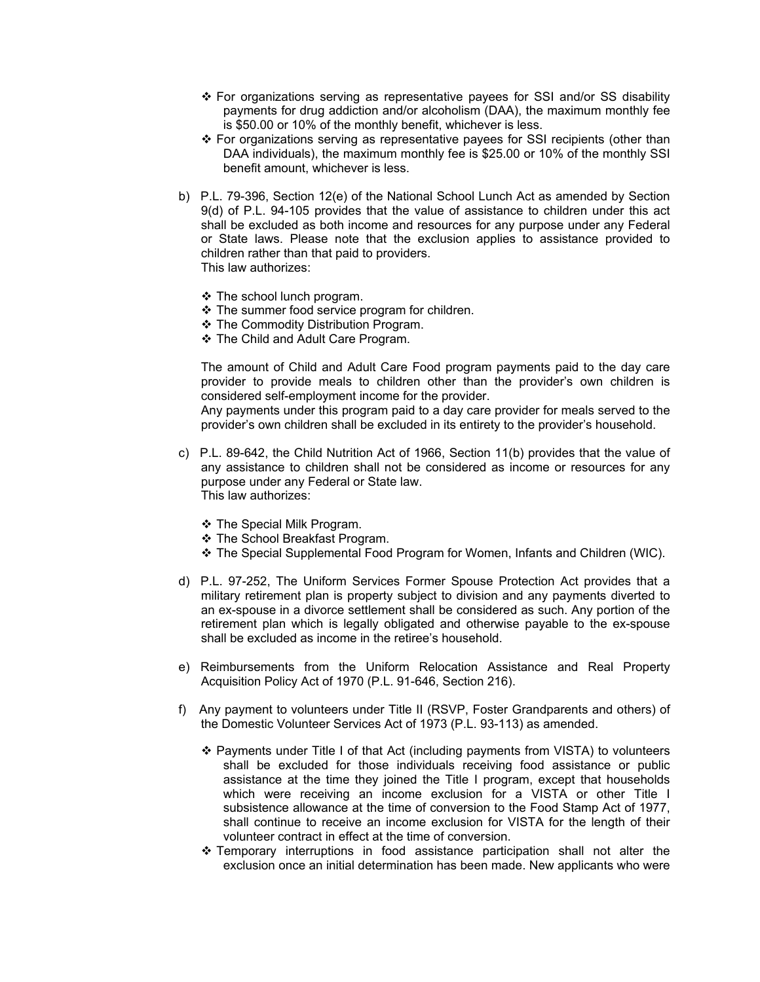- For organizations serving as representative payees for SSI and/or SS disability payments for drug addiction and/or alcoholism (DAA), the maximum monthly fee is \$50.00 or 10% of the monthly benefit, whichever is less.
- $\div$  For organizations serving as representative payees for SSI recipients (other than DAA individuals), the maximum monthly fee is \$25.00 or 10% of the monthly SSI benefit amount, whichever is less.
- b) P.L. 79-396, Section 12(e) of the National School Lunch Act as amended by Section 9(d) of P.L. 94-105 provides that the value of assistance to children under this act shall be excluded as both income and resources for any purpose under any Federal or State laws. Please note that the exclusion applies to assistance provided to children rather than that paid to providers. This law authorizes:
	- ❖ The school lunch program.
	- The summer food service program for children.
	- ❖ The Commodity Distribution Program.
	- ❖ The Child and Adult Care Program.

The amount of Child and Adult Care Food program payments paid to the day care provider to provide meals to children other than the provider's own children is considered self-employment income for the provider.

Any payments under this program paid to a day care provider for meals served to the provider's own children shall be excluded in its entirety to the provider's household.

- c) P.L. 89-642, the Child Nutrition Act of 1966, Section 11(b) provides that the value of any assistance to children shall not be considered as income or resources for any purpose under any Federal or State law. This law authorizes:
	- The Special Milk Program.
	- ❖ The School Breakfast Program.
	- The Special Supplemental Food Program for Women, Infants and Children (WIC).
- d) P.L. 97-252, The Uniform Services Former Spouse Protection Act provides that a military retirement plan is property subject to division and any payments diverted to an ex-spouse in a divorce settlement shall be considered as such. Any portion of the retirement plan which is legally obligated and otherwise payable to the ex-spouse shall be excluded as income in the retiree's household.
- e) Reimbursements from the Uniform Relocation Assistance and Real Property Acquisition Policy Act of 1970 (P.L. 91-646, Section 216).
- f) Any payment to volunteers under Title II (RSVP, Foster Grandparents and others) of the Domestic Volunteer Services Act of 1973 (P.L. 93-113) as amended.
	- Payments under Title I of that Act (including payments from VISTA) to volunteers shall be excluded for those individuals receiving food assistance or public assistance at the time they joined the Title I program, except that households which were receiving an income exclusion for a VISTA or other Title I subsistence allowance at the time of conversion to the Food Stamp Act of 1977, shall continue to receive an income exclusion for VISTA for the length of their volunteer contract in effect at the time of conversion.
	- $\div$  Temporary interruptions in food assistance participation shall not alter the exclusion once an initial determination has been made. New applicants who were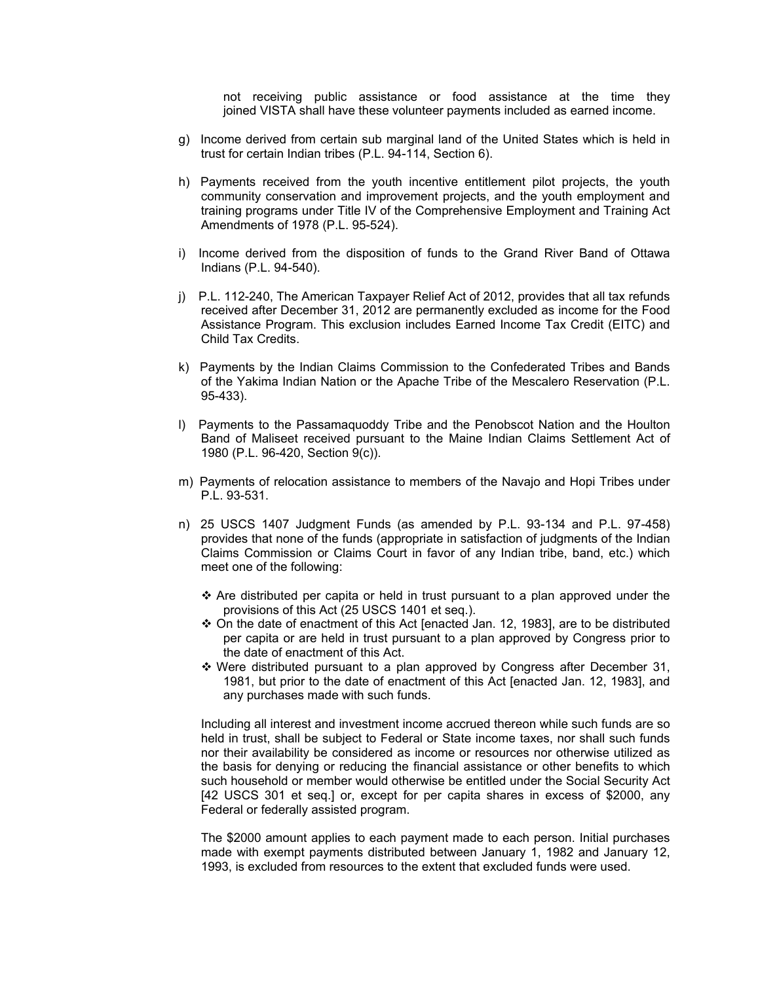not receiving public assistance or food assistance at the time they joined VISTA shall have these volunteer payments included as earned income.

- g) Income derived from certain sub marginal land of the United States which is held in trust for certain Indian tribes (P.L. 94-114, Section 6).
- h) Payments received from the youth incentive entitlement pilot projects, the youth community conservation and improvement projects, and the youth employment and training programs under Title IV of the Comprehensive Employment and Training Act Amendments of 1978 (P.L. 95-524).
- i) Income derived from the disposition of funds to the Grand River Band of Ottawa Indians (P.L. 94-540).
- j) P.L. 112-240, The American Taxpayer Relief Act of 2012, provides that all tax refunds received after December 31, 2012 are permanently excluded as income for the Food Assistance Program. This exclusion includes Earned Income Tax Credit (EITC) and Child Tax Credits.
- k) Payments by the Indian Claims Commission to the Confederated Tribes and Bands of the Yakima Indian Nation or the Apache Tribe of the Mescalero Reservation (P.L. 95-433).
- l) Payments to the Passamaquoddy Tribe and the Penobscot Nation and the Houlton Band of Maliseet received pursuant to the Maine Indian Claims Settlement Act of 1980 (P.L. 96-420, Section 9(c)).
- m) Payments of relocation assistance to members of the Navajo and Hopi Tribes under P.L. 93-531.
- n) 25 USCS 1407 Judgment Funds (as amended by P.L. 93-134 and P.L. 97-458) provides that none of the funds (appropriate in satisfaction of judgments of the Indian Claims Commission or Claims Court in favor of any Indian tribe, band, etc.) which meet one of the following:
	- $\cdot$  Are distributed per capita or held in trust pursuant to a plan approved under the provisions of this Act (25 USCS 1401 et seq.).
	- $\div$  On the date of enactment of this Act [enacted Jan. 12, 1983], are to be distributed per capita or are held in trust pursuant to a plan approved by Congress prior to the date of enactment of this Act.
	- Were distributed pursuant to a plan approved by Congress after December 31, 1981, but prior to the date of enactment of this Act [enacted Jan. 12, 1983], and any purchases made with such funds.

Including all interest and investment income accrued thereon while such funds are so held in trust, shall be subject to Federal or State income taxes, nor shall such funds nor their availability be considered as income or resources nor otherwise utilized as the basis for denying or reducing the financial assistance or other benefits to which such household or member would otherwise be entitled under the Social Security Act [42 USCS 301 et seq.] or, except for per capita shares in excess of \$2000, any Federal or federally assisted program.

The \$2000 amount applies to each payment made to each person. Initial purchases made with exempt payments distributed between January 1, 1982 and January 12, 1993, is excluded from resources to the extent that excluded funds were used.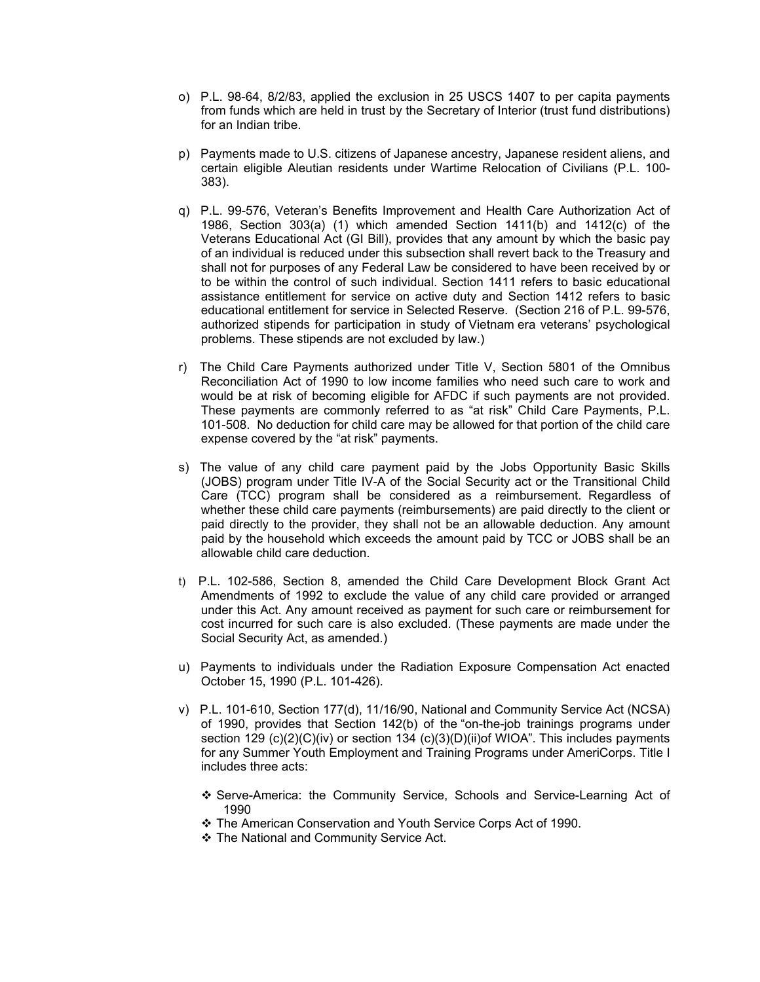- o) P.L. 98-64, 8/2/83, applied the exclusion in 25 USCS 1407 to per capita payments from funds which are held in trust by the Secretary of Interior (trust fund distributions) for an Indian tribe.
- p) Payments made to U.S. citizens of Japanese ancestry, Japanese resident aliens, and certain eligible Aleutian residents under Wartime Relocation of Civilians (P.L. 100- 383).
- q) P.L. 99-576, Veteran's Benefits Improvement and Health Care Authorization Act of 1986, Section 303(a) (1) which amended Section 1411(b) and 1412(c) of the Veterans Educational Act (GI Bill), provides that any amount by which the basic pay of an individual is reduced under this subsection shall revert back to the Treasury and shall not for purposes of any Federal Law be considered to have been received by or to be within the control of such individual. Section 1411 refers to basic educational assistance entitlement for service on active duty and Section 1412 refers to basic educational entitlement for service in Selected Reserve. (Section 216 of P.L. 99-576, authorized stipends for participation in study of Vietnam era veterans' psychological problems. These stipends are not excluded by law.)
- r) The Child Care Payments authorized under Title V, Section 5801 of the Omnibus Reconciliation Act of 1990 to low income families who need such care to work and would be at risk of becoming eligible for AFDC if such payments are not provided. These payments are commonly referred to as "at risk" Child Care Payments, P.L. 101-508. No deduction for child care may be allowed for that portion of the child care expense covered by the "at risk" payments.
- s) The value of any child care payment paid by the Jobs Opportunity Basic Skills (JOBS) program under Title IV-A of the Social Security act or the Transitional Child Care (TCC) program shall be considered as a reimbursement. Regardless of whether these child care payments (reimbursements) are paid directly to the client or paid directly to the provider, they shall not be an allowable deduction. Any amount paid by the household which exceeds the amount paid by TCC or JOBS shall be an allowable child care deduction.
- t) P.L. 102-586, Section 8, amended the Child Care Development Block Grant Act Amendments of 1992 to exclude the value of any child care provided or arranged under this Act. Any amount received as payment for such care or reimbursement for cost incurred for such care is also excluded. (These payments are made under the Social Security Act, as amended.)
- u) Payments to individuals under the Radiation Exposure Compensation Act enacted October 15, 1990 (P.L. 101-426).
- v) P.L. 101-610, Section 177(d), 11/16/90, National and Community Service Act (NCSA) of 1990, provides that Section 142(b) of the "on-the-job trainings programs under section 129  $(c)(2)(C)(iv)$  or section 134  $(c)(3)(D)(ii)$ of WIOA". This includes payments for any Summer Youth Employment and Training Programs under AmeriCorps. Title I includes three acts:
	- Serve-America: the Community Service, Schools and Service-Learning Act of 1990
	- The American Conservation and Youth Service Corps Act of 1990.
	- The National and Community Service Act.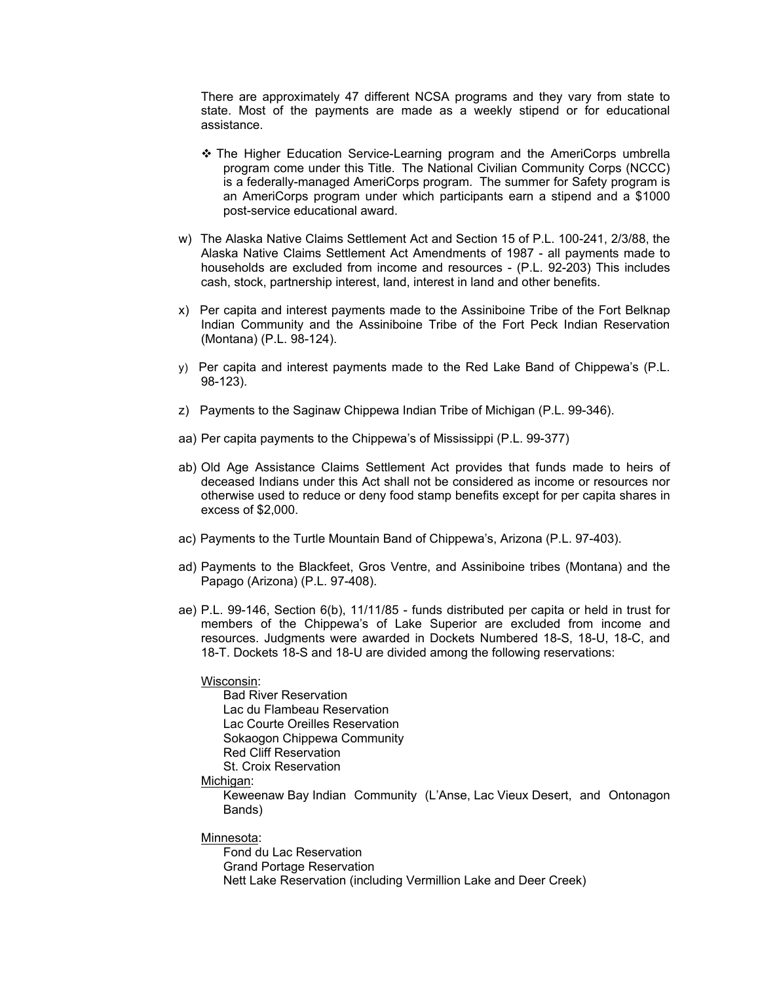There are approximately 47 different NCSA programs and they vary from state to state. Most of the payments are made as a weekly stipend or for educational assistance.

- The Higher Education Service-Learning program and the AmeriCorps umbrella program come under this Title. The National Civilian Community Corps (NCCC) is a federally-managed AmeriCorps program. The summer for Safety program is an AmeriCorps program under which participants earn a stipend and a \$1000 post-service educational award.
- w) The Alaska Native Claims Settlement Act and Section 15 of P.L. 100-241, 2/3/88, the Alaska Native Claims Settlement Act Amendments of 1987 - all payments made to households are excluded from income and resources - (P.L. 92-203) This includes cash, stock, partnership interest, land, interest in land and other benefits.
- x) Per capita and interest payments made to the Assiniboine Tribe of the Fort Belknap Indian Community and the Assiniboine Tribe of the Fort Peck Indian Reservation (Montana) (P.L. 98-124).
- y) Per capita and interest payments made to the Red Lake Band of Chippewa's (P.L. 98-123).
- z) Payments to the Saginaw Chippewa Indian Tribe of Michigan (P.L. 99-346).
- aa) Per capita payments to the Chippewa's of Mississippi (P.L. 99-377)
- ab) Old Age Assistance Claims Settlement Act provides that funds made to heirs of deceased Indians under this Act shall not be considered as income or resources nor otherwise used to reduce or deny food stamp benefits except for per capita shares in excess of \$2,000.
- ac) Payments to the Turtle Mountain Band of Chippewa's, Arizona (P.L. 97-403).
- ad) Payments to the Blackfeet, Gros Ventre, and Assiniboine tribes (Montana) and the Papago (Arizona) (P.L. 97-408).
- ae) P.L. 99-146, Section 6(b), 11/11/85 funds distributed per capita or held in trust for members of the Chippewa's of Lake Superior are excluded from income and resources. Judgments were awarded in Dockets Numbered 18-S, 18-U, 18-C, and 18-T. Dockets 18-S and 18-U are divided among the following reservations:

#### Wisconsin:

Bad River Reservation Lac du Flambeau Reservation Lac Courte Oreilles Reservation Sokaogon Chippewa Community Red Cliff Reservation St. Croix Reservation

#### Michigan:

Keweenaw Bay Indian Community (L'Anse, Lac Vieux Desert, and Ontonagon Bands)

#### Minnesota:

Fond du Lac Reservation Grand Portage Reservation Nett Lake Reservation (including Vermillion Lake and Deer Creek)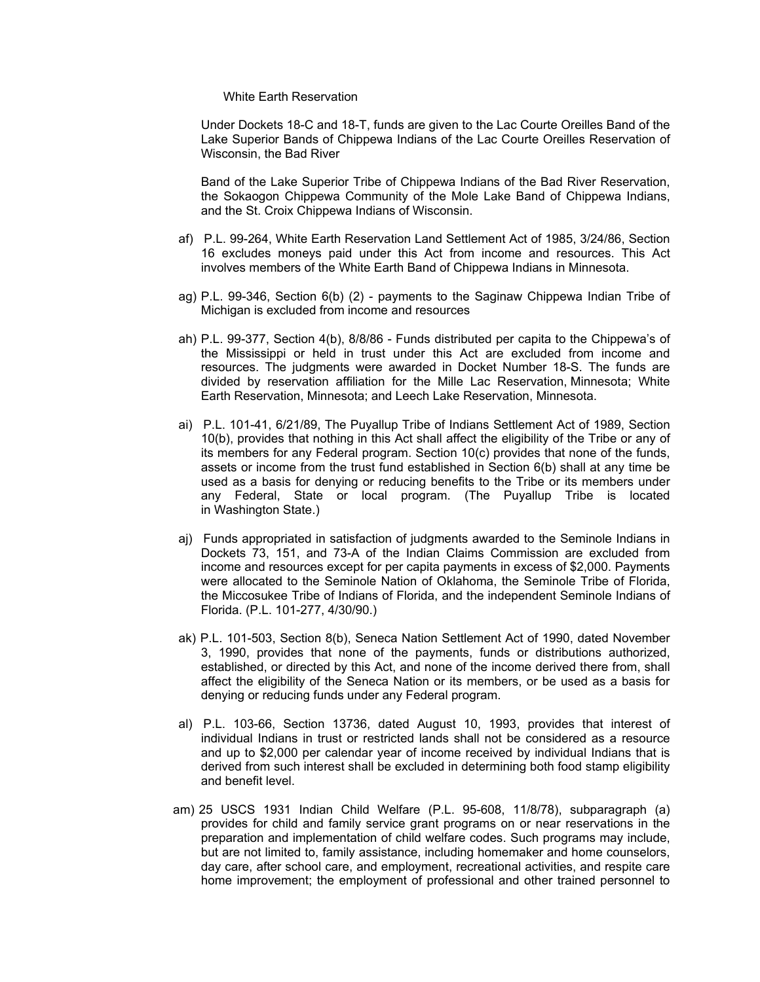#### White Earth Reservation

Under Dockets 18-C and 18-T, funds are given to the Lac Courte Oreilles Band of the Lake Superior Bands of Chippewa Indians of the Lac Courte Oreilles Reservation of Wisconsin, the Bad River

Band of the Lake Superior Tribe of Chippewa Indians of the Bad River Reservation, the Sokaogon Chippewa Community of the Mole Lake Band of Chippewa Indians, and the St. Croix Chippewa Indians of Wisconsin.

- af) P.L. 99-264, White Earth Reservation Land Settlement Act of 1985, 3/24/86, Section 16 excludes moneys paid under this Act from income and resources. This Act involves members of the White Earth Band of Chippewa Indians in Minnesota.
- ag) P.L. 99-346, Section 6(b) (2) payments to the Saginaw Chippewa Indian Tribe of Michigan is excluded from income and resources
- ah) P.L. 99-377, Section 4(b), 8/8/86 Funds distributed per capita to the Chippewa's of the Mississippi or held in trust under this Act are excluded from income and resources. The judgments were awarded in Docket Number 18-S. The funds are divided by reservation affiliation for the Mille Lac Reservation, Minnesota; White Earth Reservation, Minnesota; and Leech Lake Reservation, Minnesota.
- ai) P.L. 101-41, 6/21/89, The Puyallup Tribe of Indians Settlement Act of 1989, Section 10(b), provides that nothing in this Act shall affect the eligibility of the Tribe or any of its members for any Federal program. Section 10(c) provides that none of the funds, assets or income from the trust fund established in Section 6(b) shall at any time be used as a basis for denying or reducing benefits to the Tribe or its members under any Federal, State or local program. (The Puyallup Tribe is located in Washington State.)
- aj) Funds appropriated in satisfaction of judgments awarded to the Seminole Indians in Dockets 73, 151, and 73-A of the Indian Claims Commission are excluded from income and resources except for per capita payments in excess of \$2,000. Payments were allocated to the Seminole Nation of Oklahoma, the Seminole Tribe of Florida, the Miccosukee Tribe of Indians of Florida, and the independent Seminole Indians of Florida. (P.L. 101-277, 4/30/90.)
- ak) P.L. 101-503, Section 8(b), Seneca Nation Settlement Act of 1990, dated November 3, 1990, provides that none of the payments, funds or distributions authorized, established, or directed by this Act, and none of the income derived there from, shall affect the eligibility of the Seneca Nation or its members, or be used as a basis for denying or reducing funds under any Federal program.
- al) P.L. 103-66, Section 13736, dated August 10, 1993, provides that interest of individual Indians in trust or restricted lands shall not be considered as a resource and up to \$2,000 per calendar year of income received by individual Indians that is derived from such interest shall be excluded in determining both food stamp eligibility and benefit level.
- am) 25 USCS 1931 Indian Child Welfare (P.L. 95-608, 11/8/78), subparagraph (a) provides for child and family service grant programs on or near reservations in the preparation and implementation of child welfare codes. Such programs may include, but are not limited to, family assistance, including homemaker and home counselors, day care, after school care, and employment, recreational activities, and respite care home improvement; the employment of professional and other trained personnel to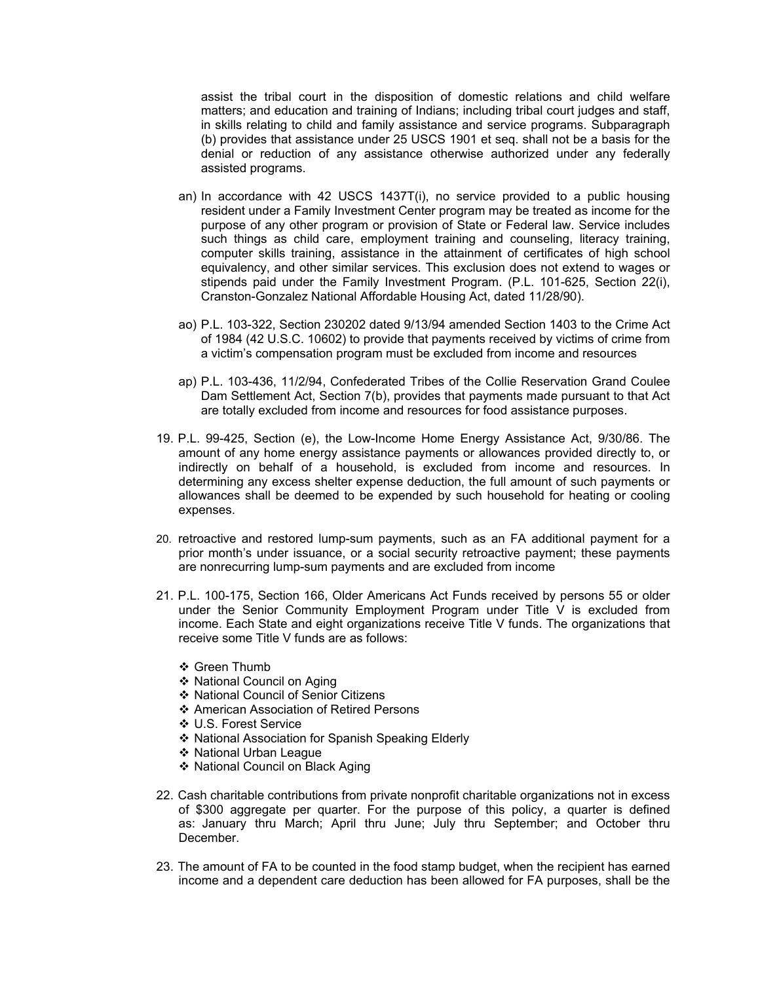assist the tribal court in the disposition of domestic relations and child welfare matters; and education and training of Indians; including tribal court judges and staff, in skills relating to child and family assistance and service programs. Subparagraph (b) provides that assistance under 25 USCS 1901 et seq. shall not be a basis for the denial or reduction of any assistance otherwise authorized under any federally assisted programs.

- an) In accordance with 42 USCS 1437T(i), no service provided to a public housing resident under a Family Investment Center program may be treated as income for the purpose of any other program or provision of State or Federal law. Service includes such things as child care, employment training and counseling, literacy training, computer skills training, assistance in the attainment of certificates of high school equivalency, and other similar services. This exclusion does not extend to wages or stipends paid under the Family Investment Program. (P.L. 101-625, Section 22(i), Cranston-Gonzalez National Affordable Housing Act, dated 11/28/90).
- ao) P.L. 103-322, Section 230202 dated 9/13/94 amended Section 1403 to the Crime Act of 1984 (42 U.S.C. 10602) to provide that payments received by victims of crime from a victim's compensation program must be excluded from income and resources
- ap) P.L. 103-436, 11/2/94, Confederated Tribes of the Collie Reservation Grand Coulee Dam Settlement Act, Section 7(b), provides that payments made pursuant to that Act are totally excluded from income and resources for food assistance purposes.
- 19. P.L. 99-425, Section (e), the Low-Income Home Energy Assistance Act, 9/30/86. The amount of any home energy assistance payments or allowances provided directly to, or indirectly on behalf of a household, is excluded from income and resources. In determining any excess shelter expense deduction, the full amount of such payments or allowances shall be deemed to be expended by such household for heating or cooling expenses.
- 20. retroactive and restored lump-sum payments, such as an FA additional payment for a prior month's under issuance, or a social security retroactive payment; these payments are nonrecurring lump-sum payments and are excluded from income
- 21. P.L. 100-175, Section 166, Older Americans Act Funds received by persons 55 or older under the Senior Community Employment Program under Title V is excluded from income. Each State and eight organizations receive Title V funds. The organizations that receive some Title V funds are as follows:
	- ❖ Green Thumb
	- ❖ National Council on Aging
	- National Council of Senior Citizens
	- American Association of Retired Persons
	- U.S. Forest Service
	- National Association for Spanish Speaking Elderly
	- National Urban League
	- ❖ National Council on Black Aging
- 22. Cash charitable contributions from private nonprofit charitable organizations not in excess of \$300 aggregate per quarter. For the purpose of this policy, a quarter is defined as: January thru March; April thru June; July thru September; and October thru December.
- 23. The amount of FA to be counted in the food stamp budget, when the recipient has earned income and a dependent care deduction has been allowed for FA purposes, shall be the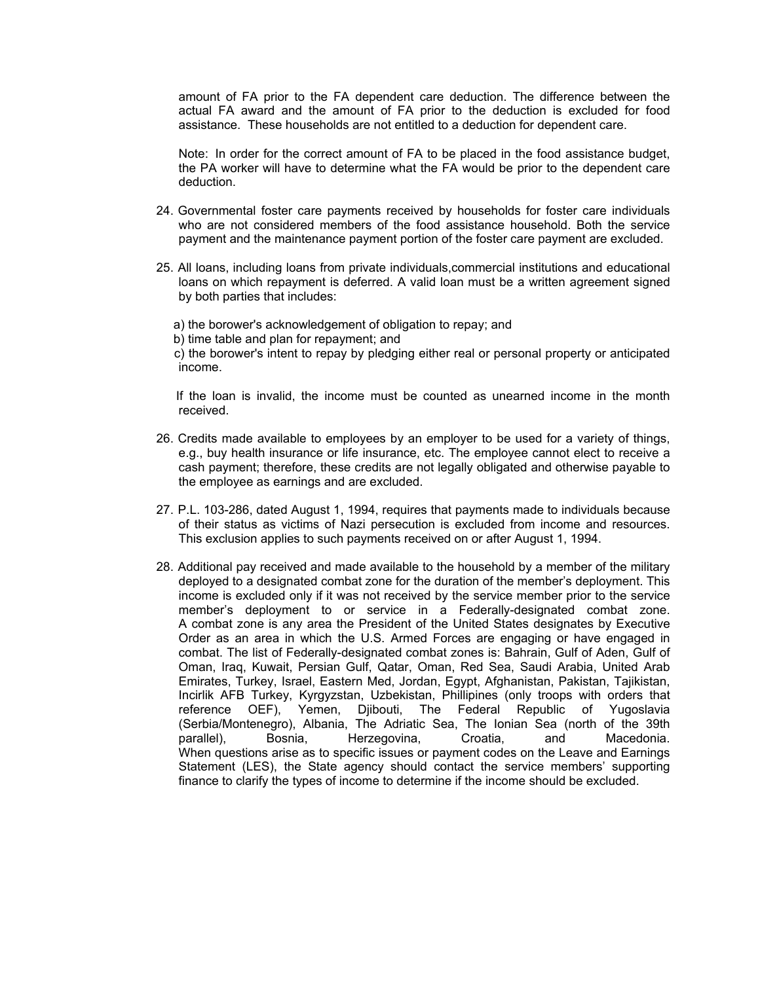amount of FA prior to the FA dependent care deduction. The difference between the actual FA award and the amount of FA prior to the deduction is excluded for food assistance. These households are not entitled to a deduction for dependent care.

Note: In order for the correct amount of FA to be placed in the food assistance budget, the PA worker will have to determine what the FA would be prior to the dependent care deduction.

- 24. Governmental foster care payments received by households for foster care individuals who are not considered members of the food assistance household. Both the service payment and the maintenance payment portion of the foster care payment are excluded.
- 25. All loans, including loans from private individuals,commercial institutions and educational loans on which repayment is deferred. A valid loan must be a written agreement signed by both parties that includes:

a) the borower's acknowledgement of obligation to repay; and

b) time table and plan for repayment; and

 c) the borower's intent to repay by pledging either real or personal property or anticipated income.

 If the loan is invalid, the income must be counted as unearned income in the month received.

- 26. Credits made available to employees by an employer to be used for a variety of things, e.g., buy health insurance or life insurance, etc. The employee cannot elect to receive a cash payment; therefore, these credits are not legally obligated and otherwise payable to the employee as earnings and are excluded.
- 27. P.L. 103-286, dated August 1, 1994, requires that payments made to individuals because of their status as victims of Nazi persecution is excluded from income and resources. This exclusion applies to such payments received on or after August 1, 1994.
- 28. Additional pay received and made available to the household by a member of the military deployed to a designated combat zone for the duration of the member's deployment. This income is excluded only if it was not received by the service member prior to the service member's deployment to or service in a Federally-designated combat zone. A combat zone is any area the President of the United States designates by Executive Order as an area in which the U.S. Armed Forces are engaging or have engaged in combat. The list of Federally-designated combat zones is: Bahrain, Gulf of Aden, Gulf of Oman, Iraq, Kuwait, Persian Gulf, Qatar, Oman, Red Sea, Saudi Arabia, United Arab Emirates, Turkey, Israel, Eastern Med, Jordan, Egypt, Afghanistan, Pakistan, Tajikistan, Incirlik AFB Turkey, Kyrgyzstan, Uzbekistan, Phillipines (only troops with orders that reference OEF), Yemen, Djibouti, The Federal Republic of Yugoslavia (Serbia/Montenegro), Albania, The Adriatic Sea, The Ionian Sea (north of the 39th parallel), Bosnia, Herzegovina, Croatia, and Macedonia. When questions arise as to specific issues or payment codes on the Leave and Earnings Statement (LES), the State agency should contact the service members' supporting finance to clarify the types of income to determine if the income should be excluded.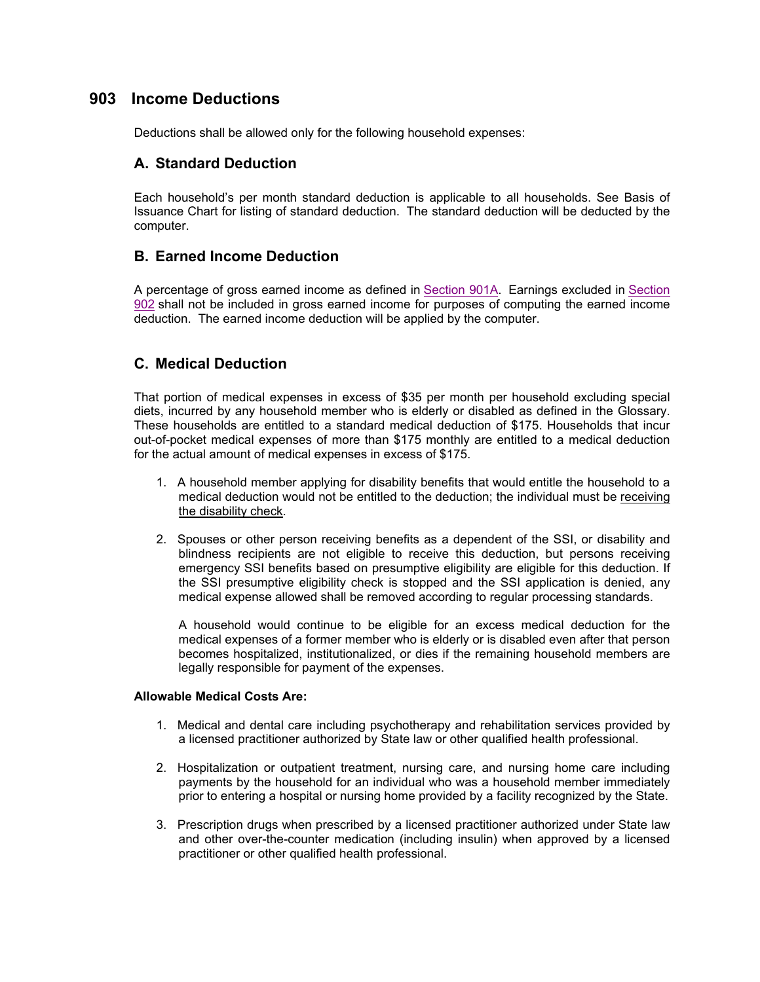## **903 Income Deductions**

Deductions shall be allowed only for the following household expenses:

### **A. Standard Deduction**

Each household's per month standard deduction is applicable to all households. See Basis of Issuance Chart for listing of standard deduction. The standard deduction will be deducted by the computer.

## **B. Earned Income Deduction**

A percentage of gross earned income as defined in Section 901A. Earnings excluded in Section 902 shall not be included in gross earned income for purposes of computing the earned income deduction. The earned income deduction will be applied by the computer.

## **C. Medical Deduction**

That portion of medical expenses in excess of \$35 per month per household excluding special diets, incurred by any household member who is elderly or disabled as defined in the Glossary. These households are entitled to a standard medical deduction of \$175. Households that incur out-of-pocket medical expenses of more than \$175 monthly are entitled to a medical deduction for the actual amount of medical expenses in excess of \$175.

- 1. A household member applying for disability benefits that would entitle the household to a medical deduction would not be entitled to the deduction; the individual must be receiving the disability check.
- 2. Spouses or other person receiving benefits as a dependent of the SSI, or disability and blindness recipients are not eligible to receive this deduction, but persons receiving emergency SSI benefits based on presumptive eligibility are eligible for this deduction. If the SSI presumptive eligibility check is stopped and the SSI application is denied, any medical expense allowed shall be removed according to regular processing standards.

A household would continue to be eligible for an excess medical deduction for the medical expenses of a former member who is elderly or is disabled even after that person becomes hospitalized, institutionalized, or dies if the remaining household members are legally responsible for payment of the expenses.

#### **Allowable Medical Costs Are:**

- 1. Medical and dental care including psychotherapy and rehabilitation services provided by a licensed practitioner authorized by State law or other qualified health professional.
- 2. Hospitalization or outpatient treatment, nursing care, and nursing home care including payments by the household for an individual who was a household member immediately prior to entering a hospital or nursing home provided by a facility recognized by the State.
- 3. Prescription drugs when prescribed by a licensed practitioner authorized under State law and other over-the-counter medication (including insulin) when approved by a licensed practitioner or other qualified health professional.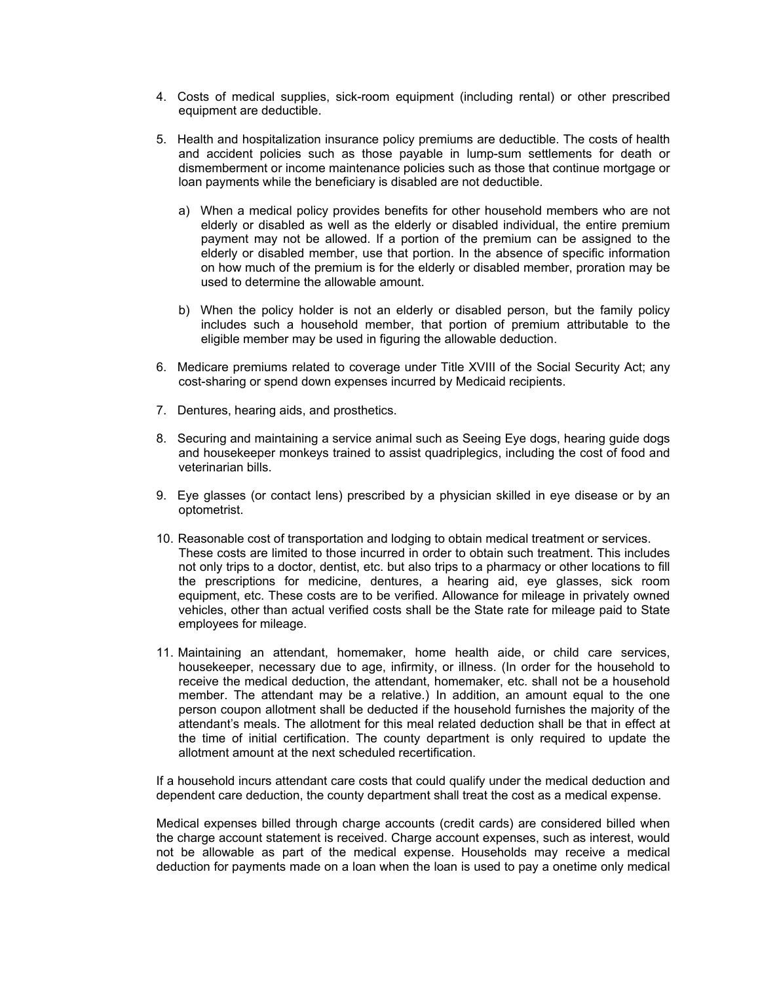- 4. Costs of medical supplies, sick-room equipment (including rental) or other prescribed equipment are deductible.
- 5. Health and hospitalization insurance policy premiums are deductible. The costs of health and accident policies such as those payable in lump-sum settlements for death or dismemberment or income maintenance policies such as those that continue mortgage or loan payments while the beneficiary is disabled are not deductible.
	- a) When a medical policy provides benefits for other household members who are not elderly or disabled as well as the elderly or disabled individual, the entire premium payment may not be allowed. If a portion of the premium can be assigned to the elderly or disabled member, use that portion. In the absence of specific information on how much of the premium is for the elderly or disabled member, proration may be used to determine the allowable amount.
	- b) When the policy holder is not an elderly or disabled person, but the family policy includes such a household member, that portion of premium attributable to the eligible member may be used in figuring the allowable deduction.
- 6. Medicare premiums related to coverage under Title XVIII of the Social Security Act; any cost-sharing or spend down expenses incurred by Medicaid recipients.
- 7. Dentures, hearing aids, and prosthetics.
- 8. Securing and maintaining a service animal such as Seeing Eye dogs, hearing guide dogs and housekeeper monkeys trained to assist quadriplegics, including the cost of food and veterinarian bills.
- 9. Eye glasses (or contact lens) prescribed by a physician skilled in eye disease or by an optometrist.
- 10. Reasonable cost of transportation and lodging to obtain medical treatment or services. These costs are limited to those incurred in order to obtain such treatment. This includes not only trips to a doctor, dentist, etc. but also trips to a pharmacy or other locations to fill the prescriptions for medicine, dentures, a hearing aid, eye glasses, sick room equipment, etc. These costs are to be verified. Allowance for mileage in privately owned vehicles, other than actual verified costs shall be the State rate for mileage paid to State employees for mileage.
- 11. Maintaining an attendant, homemaker, home health aide, or child care services, housekeeper, necessary due to age, infirmity, or illness. (In order for the household to receive the medical deduction, the attendant, homemaker, etc. shall not be a household member. The attendant may be a relative.) In addition, an amount equal to the one person coupon allotment shall be deducted if the household furnishes the majority of the attendant's meals. The allotment for this meal related deduction shall be that in effect at the time of initial certification. The county department is only required to update the allotment amount at the next scheduled recertification.

If a household incurs attendant care costs that could qualify under the medical deduction and dependent care deduction, the county department shall treat the cost as a medical expense.

Medical expenses billed through charge accounts (credit cards) are considered billed when the charge account statement is received. Charge account expenses, such as interest, would not be allowable as part of the medical expense. Households may receive a medical deduction for payments made on a loan when the loan is used to pay a onetime only medical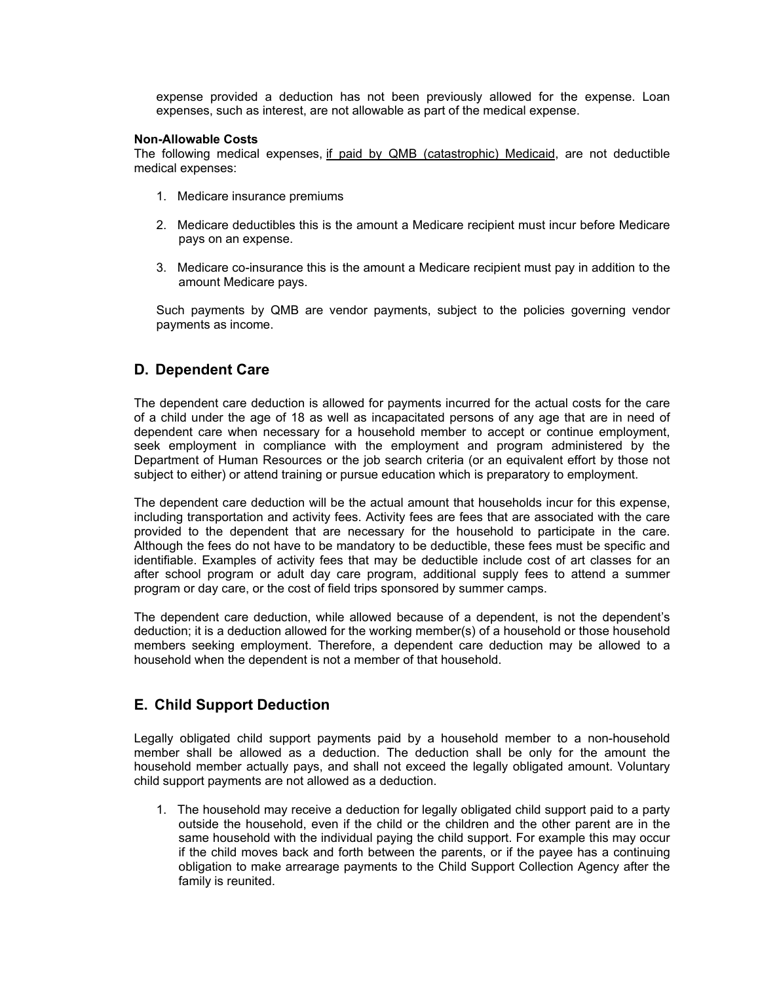expense provided a deduction has not been previously allowed for the expense. Loan expenses, such as interest, are not allowable as part of the medical expense.

#### **Non-Allowable Costs**

The following medical expenses, if paid by QMB (catastrophic) Medicaid, are not deductible medical expenses:

- 1. Medicare insurance premiums
- 2. Medicare deductibles this is the amount a Medicare recipient must incur before Medicare pays on an expense.
- 3. Medicare co-insurance this is the amount a Medicare recipient must pay in addition to the amount Medicare pays.

Such payments by QMB are vendor payments, subject to the policies governing vendor payments as income.

#### **D. Dependent Care**

The dependent care deduction is allowed for payments incurred for the actual costs for the care of a child under the age of 18 as well as incapacitated persons of any age that are in need of dependent care when necessary for a household member to accept or continue employment, seek employment in compliance with the employment and program administered by the Department of Human Resources or the job search criteria (or an equivalent effort by those not subject to either) or attend training or pursue education which is preparatory to employment.

The dependent care deduction will be the actual amount that households incur for this expense, including transportation and activity fees. Activity fees are fees that are associated with the care provided to the dependent that are necessary for the household to participate in the care. Although the fees do not have to be mandatory to be deductible, these fees must be specific and identifiable. Examples of activity fees that may be deductible include cost of art classes for an after school program or adult day care program, additional supply fees to attend a summer program or day care, or the cost of field trips sponsored by summer camps.

The dependent care deduction, while allowed because of a dependent, is not the dependent's deduction; it is a deduction allowed for the working member(s) of a household or those household members seeking employment. Therefore, a dependent care deduction may be allowed to a household when the dependent is not a member of that household.

### **E. Child Support Deduction**

Legally obligated child support payments paid by a household member to a non-household member shall be allowed as a deduction. The deduction shall be only for the amount the household member actually pays, and shall not exceed the legally obligated amount. Voluntary child support payments are not allowed as a deduction.

1. The household may receive a deduction for legally obligated child support paid to a party outside the household, even if the child or the children and the other parent are in the same household with the individual paying the child support. For example this may occur if the child moves back and forth between the parents, or if the payee has a continuing obligation to make arrearage payments to the Child Support Collection Agency after the family is reunited.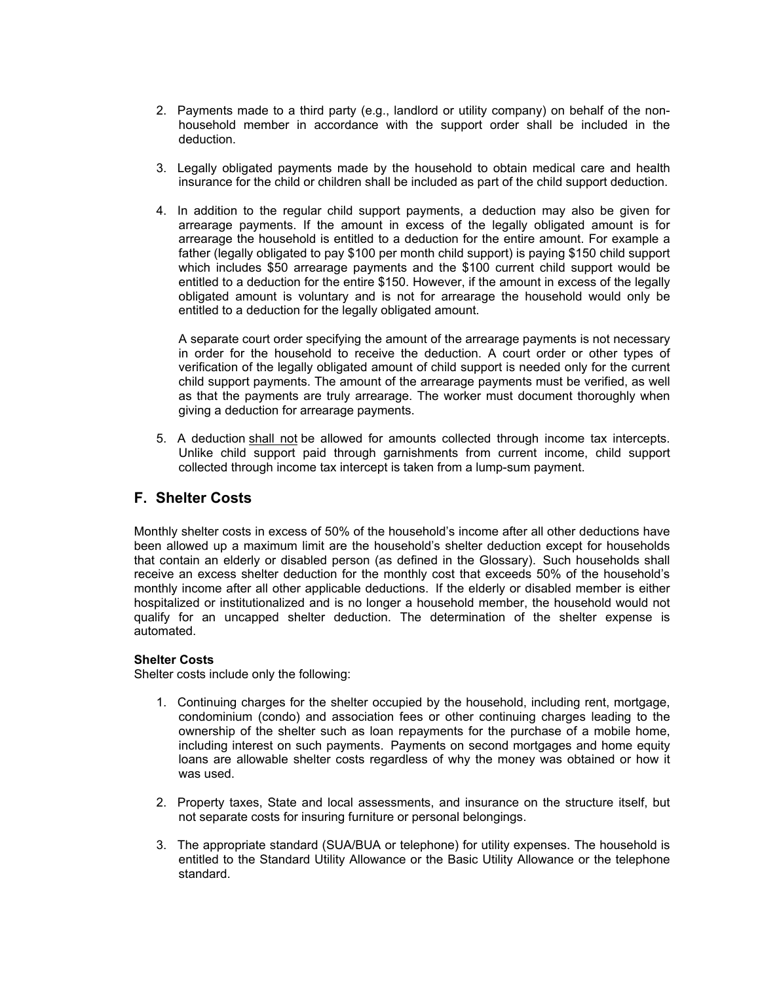- 2. Payments made to a third party (e.g., landlord or utility company) on behalf of the nonhousehold member in accordance with the support order shall be included in the deduction.
- 3. Legally obligated payments made by the household to obtain medical care and health insurance for the child or children shall be included as part of the child support deduction.
- 4. In addition to the regular child support payments, a deduction may also be given for arrearage payments. If the amount in excess of the legally obligated amount is for arrearage the household is entitled to a deduction for the entire amount. For example a father (legally obligated to pay \$100 per month child support) is paying \$150 child support which includes \$50 arrearage payments and the \$100 current child support would be entitled to a deduction for the entire \$150. However, if the amount in excess of the legally obligated amount is voluntary and is not for arrearage the household would only be entitled to a deduction for the legally obligated amount.

A separate court order specifying the amount of the arrearage payments is not necessary in order for the household to receive the deduction. A court order or other types of verification of the legally obligated amount of child support is needed only for the current child support payments. The amount of the arrearage payments must be verified, as well as that the payments are truly arrearage. The worker must document thoroughly when giving a deduction for arrearage payments.

5. A deduction shall not be allowed for amounts collected through income tax intercepts. Unlike child support paid through garnishments from current income, child support collected through income tax intercept is taken from a lump-sum payment.

### **F. Shelter Costs**

Monthly shelter costs in excess of 50% of the household's income after all other deductions have been allowed up a maximum limit are the household's shelter deduction except for households that contain an elderly or disabled person (as defined in the Glossary). Such households shall receive an excess shelter deduction for the monthly cost that exceeds 50% of the household's monthly income after all other applicable deductions. If the elderly or disabled member is either hospitalized or institutionalized and is no longer a household member, the household would not qualify for an uncapped shelter deduction. The determination of the shelter expense is automated.

#### **Shelter Costs**

Shelter costs include only the following:

- 1. Continuing charges for the shelter occupied by the household, including rent, mortgage, condominium (condo) and association fees or other continuing charges leading to the ownership of the shelter such as loan repayments for the purchase of a mobile home, including interest on such payments. Payments on second mortgages and home equity loans are allowable shelter costs regardless of why the money was obtained or how it was used.
- 2. Property taxes, State and local assessments, and insurance on the structure itself, but not separate costs for insuring furniture or personal belongings.
- 3. The appropriate standard (SUA/BUA or telephone) for utility expenses. The household is entitled to the Standard Utility Allowance or the Basic Utility Allowance or the telephone standard.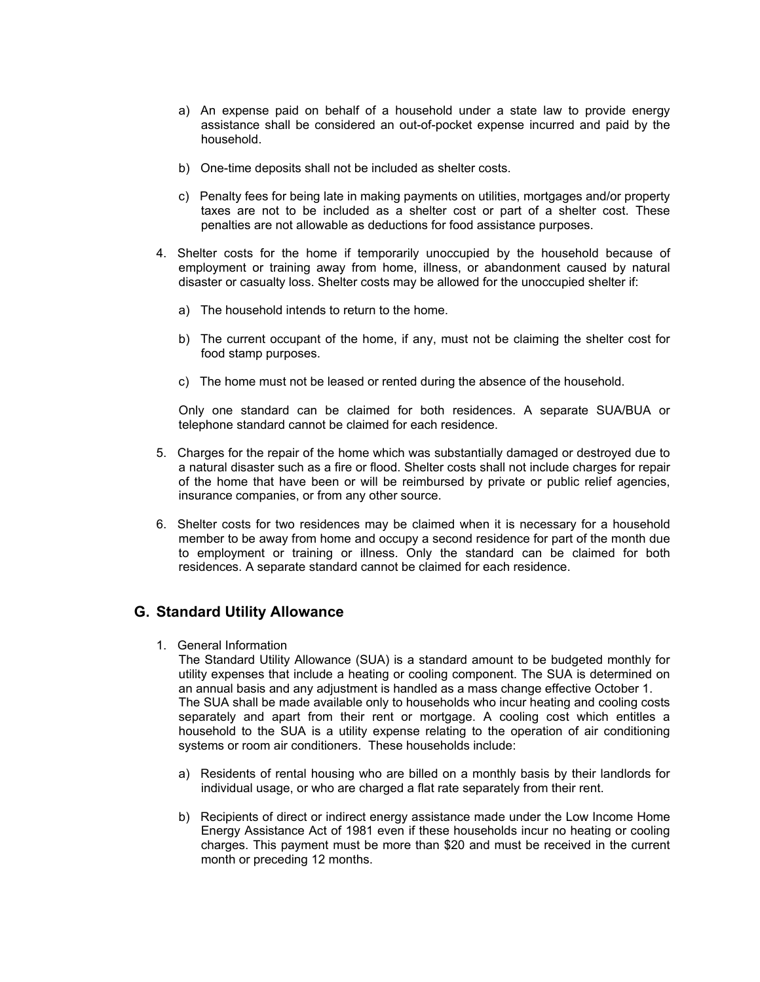- a) An expense paid on behalf of a household under a state law to provide energy assistance shall be considered an out-of-pocket expense incurred and paid by the household.
- b) One-time deposits shall not be included as shelter costs.
- c) Penalty fees for being late in making payments on utilities, mortgages and/or property taxes are not to be included as a shelter cost or part of a shelter cost. These penalties are not allowable as deductions for food assistance purposes.
- 4. Shelter costs for the home if temporarily unoccupied by the household because of employment or training away from home, illness, or abandonment caused by natural disaster or casualty loss. Shelter costs may be allowed for the unoccupied shelter if:
	- a) The household intends to return to the home.
	- b) The current occupant of the home, if any, must not be claiming the shelter cost for food stamp purposes.
	- c) The home must not be leased or rented during the absence of the household.

Only one standard can be claimed for both residences. A separate SUA/BUA or telephone standard cannot be claimed for each residence.

- 5. Charges for the repair of the home which was substantially damaged or destroyed due to a natural disaster such as a fire or flood. Shelter costs shall not include charges for repair of the home that have been or will be reimbursed by private or public relief agencies, insurance companies, or from any other source.
- 6. Shelter costs for two residences may be claimed when it is necessary for a household member to be away from home and occupy a second residence for part of the month due to employment or training or illness. Only the standard can be claimed for both residences. A separate standard cannot be claimed for each residence.

### **G. Standard Utility Allowance**

1. General Information

The Standard Utility Allowance (SUA) is a standard amount to be budgeted monthly for utility expenses that include a heating or cooling component. The SUA is determined on an annual basis and any adjustment is handled as a mass change effective October 1. The SUA shall be made available only to households who incur heating and cooling costs separately and apart from their rent or mortgage. A cooling cost which entitles a household to the SUA is a utility expense relating to the operation of air conditioning systems or room air conditioners. These households include:

- a) Residents of rental housing who are billed on a monthly basis by their landlords for individual usage, or who are charged a flat rate separately from their rent.
- b) Recipients of direct or indirect energy assistance made under the Low Income Home Energy Assistance Act of 1981 even if these households incur no heating or cooling charges. This payment must be more than \$20 and must be received in the current month or preceding 12 months.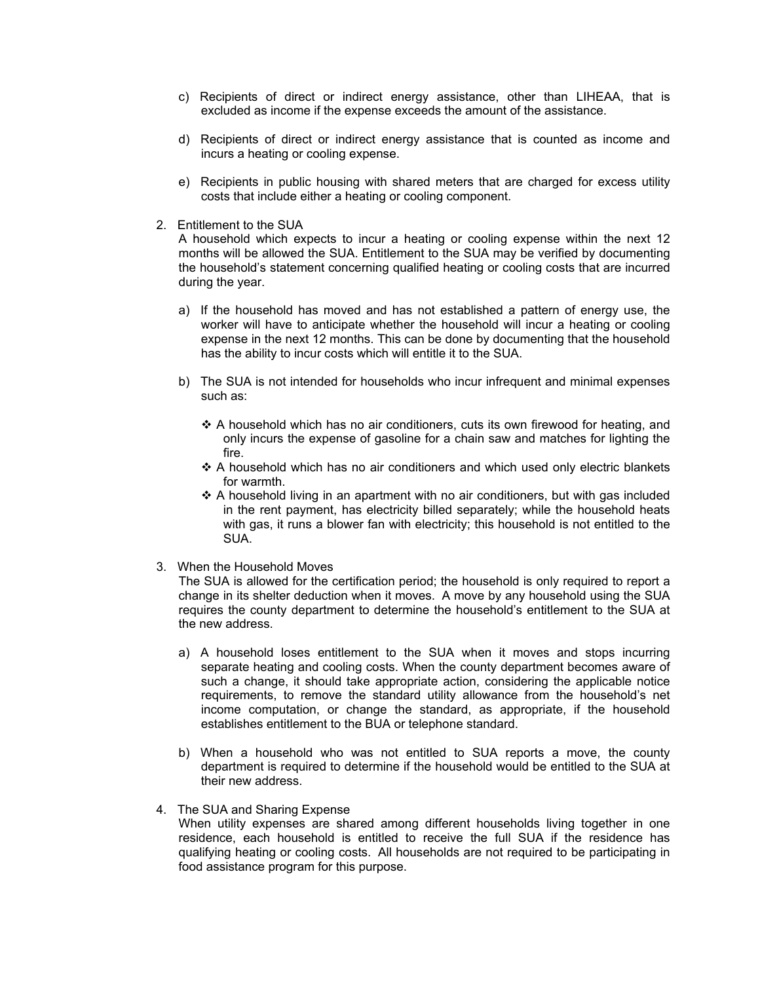- c) Recipients of direct or indirect energy assistance, other than LIHEAA, that is excluded as income if the expense exceeds the amount of the assistance.
- d) Recipients of direct or indirect energy assistance that is counted as income and incurs a heating or cooling expense.
- e) Recipients in public housing with shared meters that are charged for excess utility costs that include either a heating or cooling component.
- 2. Entitlement to the SUA

A household which expects to incur a heating or cooling expense within the next 12 months will be allowed the SUA. Entitlement to the SUA may be verified by documenting the household's statement concerning qualified heating or cooling costs that are incurred during the year.

- a) If the household has moved and has not established a pattern of energy use, the worker will have to anticipate whether the household will incur a heating or cooling expense in the next 12 months. This can be done by documenting that the household has the ability to incur costs which will entitle it to the SUA.
- b) The SUA is not intended for households who incur infrequent and minimal expenses such as:
	- $\triangle$  A household which has no air conditioners, cuts its own firewood for heating, and only incurs the expense of gasoline for a chain saw and matches for lighting the fire.
	- $\triangle$  A household which has no air conditioners and which used only electric blankets for warmth.
	- $\triangle$  A household living in an apartment with no air conditioners, but with gas included in the rent payment, has electricity billed separately; while the household heats with gas, it runs a blower fan with electricity; this household is not entitled to the SUA.
- 3. When the Household Moves

The SUA is allowed for the certification period; the household is only required to report a change in its shelter deduction when it moves. A move by any household using the SUA requires the county department to determine the household's entitlement to the SUA at the new address.

- a) A household loses entitlement to the SUA when it moves and stops incurring separate heating and cooling costs. When the county department becomes aware of such a change, it should take appropriate action, considering the applicable notice requirements, to remove the standard utility allowance from the household's net income computation, or change the standard, as appropriate, if the household establishes entitlement to the BUA or telephone standard.
- b) When a household who was not entitled to SUA reports a move, the county department is required to determine if the household would be entitled to the SUA at their new address.
- 4. The SUA and Sharing Expense

When utility expenses are shared among different households living together in one residence, each household is entitled to receive the full SUA if the residence has qualifying heating or cooling costs. All households are not required to be participating in food assistance program for this purpose.